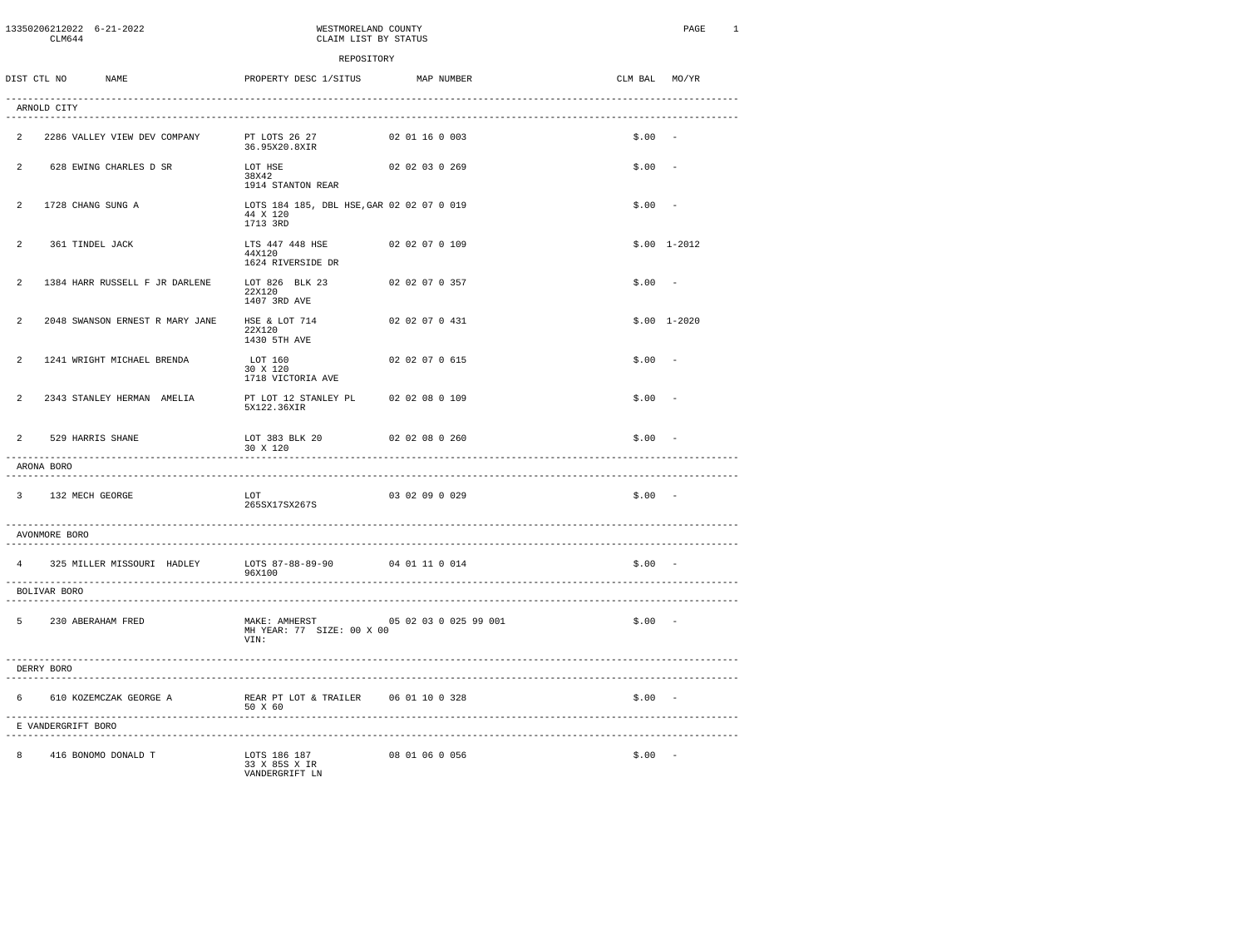|                | 13350206212022 6-21-2022<br>CLM644            |                                 | WESTMORELAND COUNTY<br>CLAIM LIST BY STATUS                       |                      |                       |               | PAGE          | 1 |
|----------------|-----------------------------------------------|---------------------------------|-------------------------------------------------------------------|----------------------|-----------------------|---------------|---------------|---|
|                |                                               |                                 | REPOSITORY                                                        |                      |                       |               |               |   |
|                | DIST CTL NO                                   | <b>NAME</b>                     | PROPERTY DESC 1/SITUS                                             |                      | MAP NUMBER            | CLM BAL MO/YR |               |   |
|                | ARNOLD CITY                                   |                                 |                                                                   |                      |                       |               |               |   |
| $\overline{2}$ |                                               | 2286 VALLEY VIEW DEV COMPANY    | PT LOTS 26 27<br>36.95X20.8XIR                                    | 02 01 16 0 003       |                       | $$.00 -$      |               |   |
| $\overline{a}$ |                                               | 628 EWING CHARLES D SR          | LOT HSE<br>38X42<br>1914 STANTON REAR                             | 02 02 03 0 269       |                       | \$.00         | $\sim$        |   |
| $\mathfrak{D}$ |                                               | 1728 CHANG SUNG A               | LOTS 184 185, DBL HSE, GAR 02 02 07 0 019<br>44 X 120<br>1713 3RD |                      |                       | \$.00         |               |   |
| $\mathfrak{D}$ |                                               | 361 TINDEL JACK                 | LTS 447 448 HSE<br>44X120<br>1624 RIVERSIDE DR                    | 02 02 07 0 109       |                       |               | $$.00$ 1-2012 |   |
| $\mathfrak{D}$ |                                               | 1384 HARR RUSSELL F JR DARLENE  | LOT 826 BLK 23<br>22X120<br>1407 3RD AVE                          | 02 02 07 0 357       |                       | \$.00         |               |   |
| $\mathfrak{D}$ |                                               | 2048 SWANSON ERNEST R MARY JANE | HSE & LOT 714<br>22X120<br>1430 5TH AVE                           | 02 02 07 0 431       |                       |               | $$.00$ 1-2020 |   |
| $\mathfrak{D}$ |                                               | 1241 WRIGHT MICHAEL BRENDA      | LOT 160<br>30 X 120<br>1718 VICTORIA AVE                          | 02 02 07 0 615       |                       | \$.00         | $\sim$        |   |
| 2              |                                               | 2343 STANLEY HERMAN AMELIA      | PT LOT 12 STANLEY PL<br>5X122.36XIR                               | 02 02 08 0 109       |                       | \$.00         |               |   |
| $\overline{2}$ |                                               | 529 HARRIS SHANE                | LOT 383 BLK 20<br>30 X 120                                        | 02 02 08 0 260       |                       | \$.00         |               |   |
|                | ARONA BORO<br>-------------                   |                                 |                                                                   |                      |                       |               |               |   |
| 3              | 132 MECH GEORGE                               |                                 | LOT<br>265SX17SX267S                                              | 03 02 09 0 029       |                       | \$.00         | $\sim$        |   |
|                | -----------------<br>AVONMORE BORO            |                                 |                                                                   |                      |                       |               |               |   |
| $\overline{4}$ |                                               | 325 MILLER MISSOURI HADLEY      | LOTS 87-88-89-90<br>96X100                                        | 04 01 11 0 014       |                       | $$.00 -$      |               |   |
|                | BOLIVAR BORO<br>----------------              |                                 |                                                                   |                      |                       |               |               |   |
| 5.             |                                               | 230 ABERAHAM FRED               | MAKE: AMHERST<br>MH YEAR: 77 SIZE: 00 X 00<br>VIN:                |                      | 05 02 03 0 025 99 001 | $$.00 -$      |               |   |
|                | DERRY BORO<br>--------------------            |                                 |                                                                   |                      |                       |               |               |   |
| 6              |                                               | 610 KOZEMCZAK GEORGE A          | REAR PT LOT & TRAILER<br>50 X 60                                  | 06 01 10 0 328       |                       | \$.00         |               |   |
|                | E VANDERGRIFT BORO<br>----------------------- |                                 | ---------------------                                             | -------------------- |                       |               |               |   |
| 8              |                                               | 416 BONOMO DONALD T             | LOTS 186 187<br>33 X 85S X IR<br>VANDERGRIFT LN                   | 08 01 06 0 056       |                       | $$.00 -$      |               |   |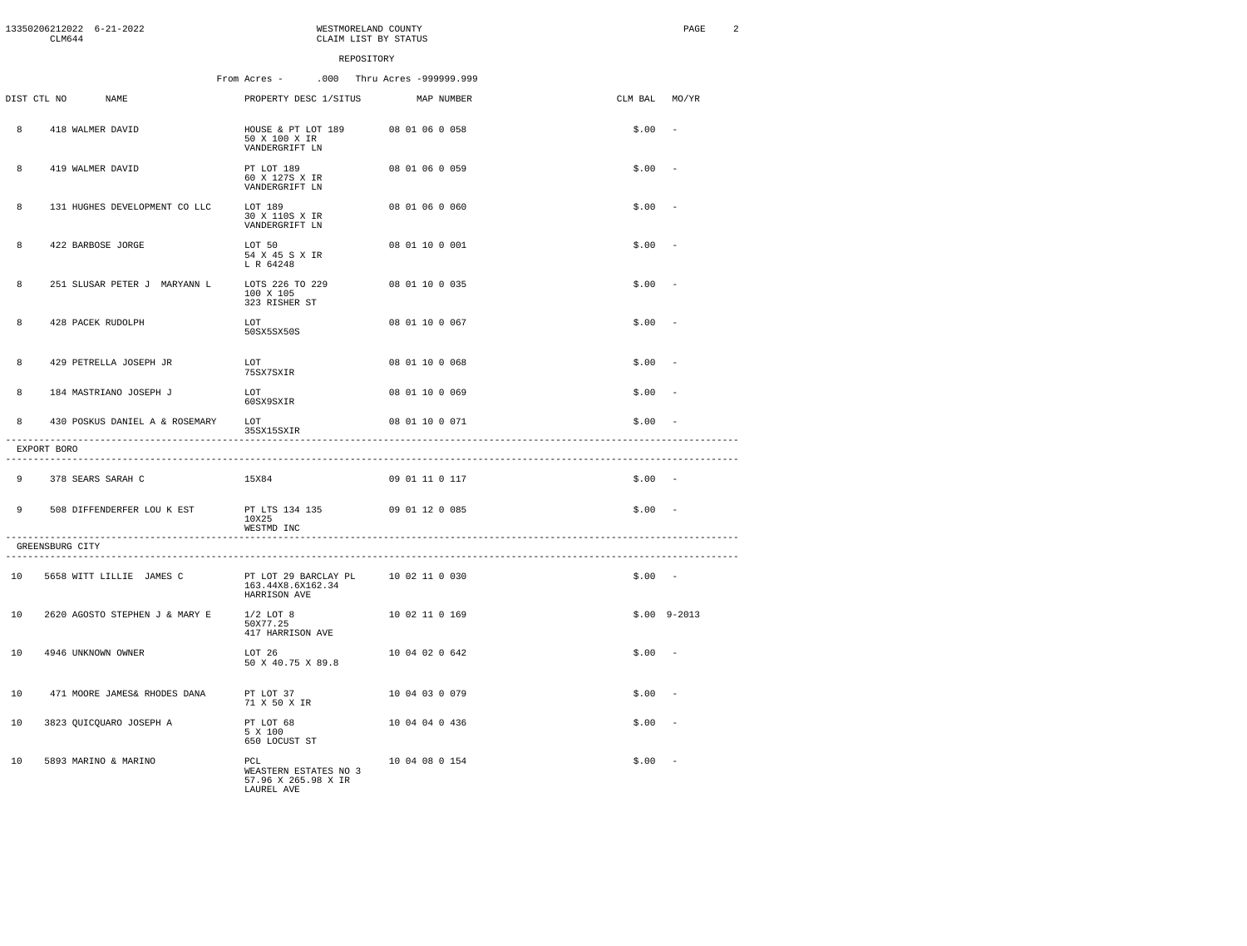|    | CLM644          | 13350206212022 6-21-2022       |                                                                   | WESTMORELAND COUNTY<br>CLAIM LIST BY STATUS |          | PAGE<br>$\overline{2}$   |
|----|-----------------|--------------------------------|-------------------------------------------------------------------|---------------------------------------------|----------|--------------------------|
|    |                 |                                | REPOSITORY                                                        |                                             |          |                          |
|    |                 |                                | From Acres -                                                      | .000 Thru Acres -999999.999                 |          |                          |
|    | DIST CTL NO     | NAME                           | PROPERTY DESC 1/SITUS                                             | MAP NUMBER                                  | CLM BAL  | MO/YR                    |
| 8  |                 | 418 WALMER DAVID               | HOUSE & PT LOT 189<br>50 X 100 X IR<br>VANDERGRIFT LN             | 08 01 06 0 058                              | \$.00    | $\overline{\phantom{a}}$ |
| 8  |                 | 419 WALMER DAVID               | PT LOT 189<br>60 X 127S X IR<br>VANDERGRIFT LN                    | 08 01 06 0 059                              | \$.00    | $\overline{\phantom{a}}$ |
| 8  |                 | 131 HUGHES DEVELOPMENT CO LLC  | LOT 189<br>30 X 110S X IR<br>VANDERGRIFT LN                       | 08 01 06 0 060                              | \$.00    | - 1                      |
| 8  |                 | 422 BARBOSE JORGE              | LOT 50<br>54 X 45 S X IR<br>L R 64248                             | 08 01 10 0 001                              | \$.00    |                          |
| 8  |                 | 251 SLUSAR PETER J MARYANN L   | LOTS 226 TO 229<br>100 X 105<br>323 RISHER ST                     | 08 01 10 0 035                              | \$.00    |                          |
| 8  |                 | 428 PACEK RUDOLPH              | LOT<br>50SX5SX50S                                                 | 08 01 10 0 067                              | \$.00    | $\overline{\phantom{a}}$ |
| 8  |                 | 429 PETRELLA JOSEPH JR         | LOT<br>75SX7SXIR                                                  | 08 01 10 0 068                              | \$.00    | - -                      |
| 8  |                 | 184 MASTRIANO JOSEPH J         | LOT<br>60SX9SXIR                                                  | 08 01 10 0 069                              | \$.00    | - 1                      |
| 8  |                 | 430 POSKUS DANIEL A & ROSEMARY | LOT<br>35SX15SXIR                                                 | 08 01 10 0 071                              | \$.00    |                          |
|    | EXPORT BORO     |                                |                                                                   |                                             |          |                          |
| 9  |                 | 378 SEARS SARAH C              | 15X84                                                             | 09 01 11 0 117                              | $$.00 -$ |                          |
| 9  |                 | 508 DIFFENDERFER LOU K EST     | PT LTS 134 135<br>10X25<br>WESTMD INC                             | 09 01 12 0 085                              | $$.00 -$ |                          |
|    | GREENSBURG CITY |                                |                                                                   |                                             |          |                          |
| 10 |                 | 5658 WITT LILLIE JAMES C       | PT LOT 29 BARCLAY PL<br>163.44X8.6X162.34<br>HARRISON AVE         | 10 02 11 0 030                              | $$.00 -$ |                          |
| 10 |                 | 2620 AGOSTO STEPHEN J & MARY E | $1/2$ LOT 8<br>50X77.25<br>417 HARRISON AVE                       | 10 02 11 0 169                              |          | $$.00$ $9-2013$          |
| 10 |                 | 4946 UNKNOWN OWNER             | LOT 26<br>50 X 40.75 X 89.8                                       | 10 04 02 0 642                              | $$.00 -$ |                          |
| 10 |                 | 471 MOORE JAMES& RHODES DANA   | PT LOT 37<br>71 X 50 X IR                                         | 10 04 03 0 079                              | \$.00    | $\sim$                   |
| 10 |                 | 3823 QUICQUARO JOSEPH A        | PT LOT 68<br>5 X 100<br>650 LOCUST ST                             | 10 04 04 0 436                              | \$.00    |                          |
| 10 |                 | 5893 MARINO & MARINO           | PCL<br>WEASTERN ESTATES NO 3<br>57.96 X 265.98 X IR<br>LAUREL AVE | 10 04 08 0 154                              | $$.00 -$ |                          |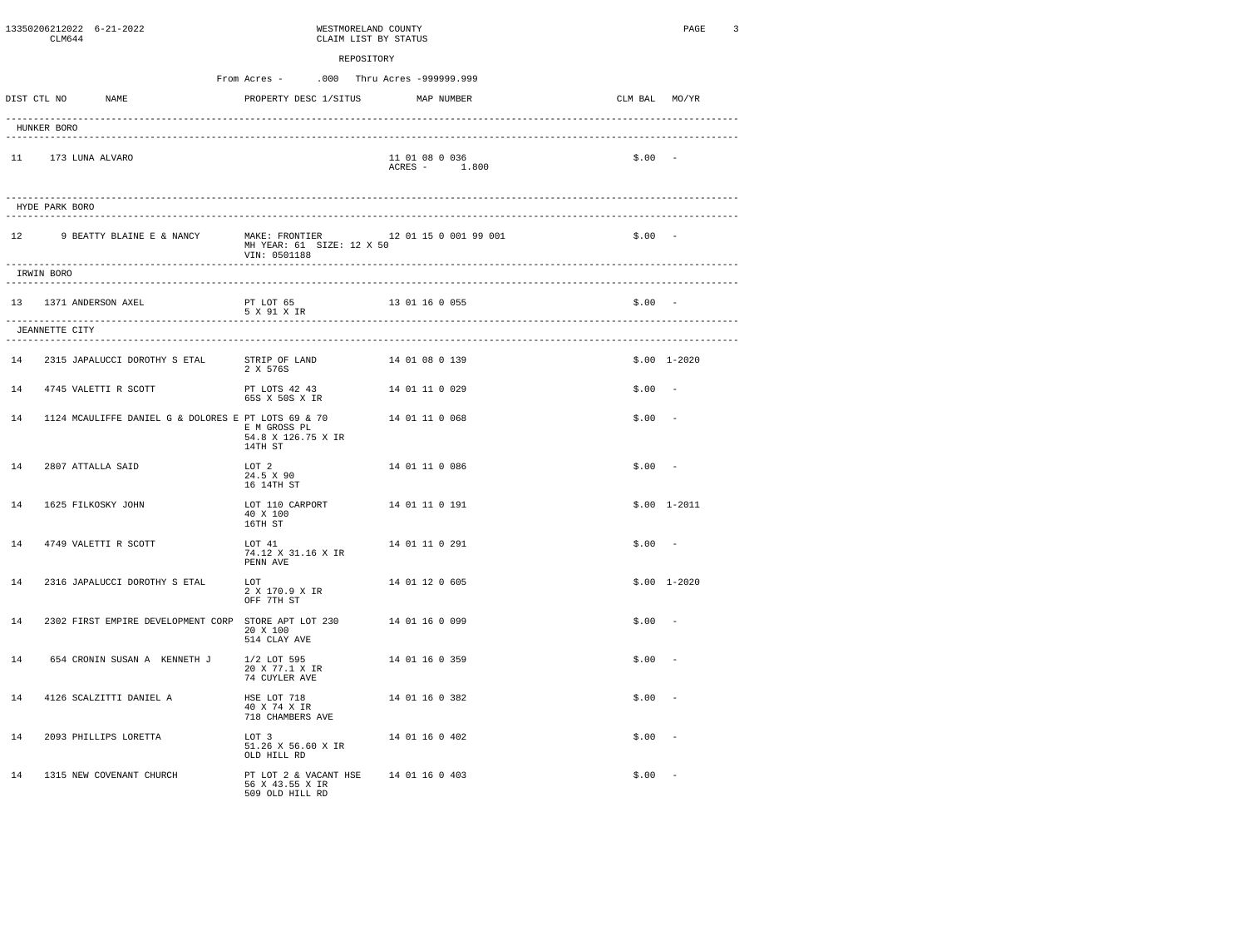|             | CLM644         | 13350206212022 6-21-2022                                          | WESTMORELAND COUNTY<br>CLAIM LIST BY STATUS                                |                |                                 |               | PAGE<br>3     |
|-------------|----------------|-------------------------------------------------------------------|----------------------------------------------------------------------------|----------------|---------------------------------|---------------|---------------|
|             |                |                                                                   | From Acres -<br>.000 Thru Acres -999999.999                                | REPOSITORY     |                                 |               |               |
| DIST CTL NO |                | <b>NAME</b>                                                       | PROPERTY DESC 1/SITUS                                                      |                | MAP NUMBER                      | CLM BAL MO/YR |               |
|             | HUNKER BORO    |                                                                   |                                                                            |                |                                 |               |               |
| 11          |                | 173 LUNA ALVARO                                                   |                                                                            |                | 11 01 08 0 036<br>ACRES - 1.800 | $$.00 -$      |               |
|             | HYDE PARK BORO |                                                                   |                                                                            |                |                                 |               |               |
|             |                | 12 9 BEATTY BLAINE E & NANCY MAKE: FRONTIER 12 01 15 0 001 99 001 | MH YEAR: 61 SIZE: 12 X 50<br>VIN: 0501188                                  |                |                                 | $$.00 -$      |               |
|             | IRWIN BORO     | ------------------                                                |                                                                            |                |                                 |               |               |
|             |                | 13 1371 ANDERSON AXEL                                             | PT LOT 65<br>5 X 91 X IR                                                   |                | 13 01 16 0 055                  | $$.00 -$      |               |
|             | JEANNETTE CITY | ------------------<br>--------------------                        |                                                                            |                |                                 |               |               |
| 14          |                | 2315 JAPALUCCI DOROTHY S ETAL                                     | STRIP OF LAND 14 01 08 0 139<br>2 X 576S                                   |                |                                 |               | $$.00$ 1-2020 |
| 14          |                | 4745 VALETTI R SCOTT                                              | PT LOTS 42 43<br>65S X 50S X IR                                            | 14 01 11 0 029 |                                 | \$.00         |               |
| 14          |                | 1124 MCAULIFFE DANIEL G & DOLORES E PT LOTS 69 & 70               | E M GROSS PL<br>54.8 X 126.75 X IR<br>14TH ST                              |                | 14 01 11 0 068                  | \$.00         |               |
| 14          |                | 2807 ATTALLA SAID                                                 | LOT 2<br>24.5 X 90<br>16 14TH ST                                           |                | 14 01 11 0 086                  | $$.00 -$      |               |
| 14          |                | 1625 FILKOSKY JOHN                                                | LOT 110 CARPORT<br>40 X 100<br>16TH ST                                     |                | 14 01 11 0 191                  |               | $$.00$ 1-2011 |
| 14          |                | 4749 VALETTI R SCOTT                                              | LOT 41<br>74.12 X 31.16 X IR<br>PENN AVE                                   |                | 14 01 11 0 291                  | \$.00         |               |
| 14          |                | 2316 JAPALUCCI DOROTHY S ETAL                                     | LOT<br>2 X 170.9 X IR<br>OFF 7TH ST                                        |                | 14 01 12 0 605                  |               | $$.00$ 1-2020 |
| 14          |                | 2302 FIRST EMPIRE DEVELOPMENT CORP STORE APT LOT 230              | 20 X 100<br>514 CLAY AVE                                                   | 14 01 16 0 099 |                                 | \$.00         |               |
| 14          |                | 654 CRONIN SUSAN A KENNETH J                                      | 1/2 LOT 595<br>20 X 77.1 X IR<br>74 CUYLER AVE                             |                | 14 01 16 0 359                  | \$.00         |               |
| 14          |                | 4126 SCALZITTI DANIEL A                                           | HSE LOT 718<br>40 X 74 X IR<br>718 CHAMBERS AVE                            |                | 14 01 16 0 382                  | \$.00         |               |
| 14          |                | 2093 PHILLIPS LORETTA                                             | LOT 3<br>51.26 X 56.60 X IR<br>OLD HILL RD                                 |                | 14 01 16 0 402                  | \$.00         |               |
| 14          |                | 1315 NEW COVENANT CHURCH                                          | PT LOT 2 & VACANT HSE 14 01 16 0 403<br>56 X 43.55 X IR<br>509 OLD HILL RD |                |                                 | \$.00         |               |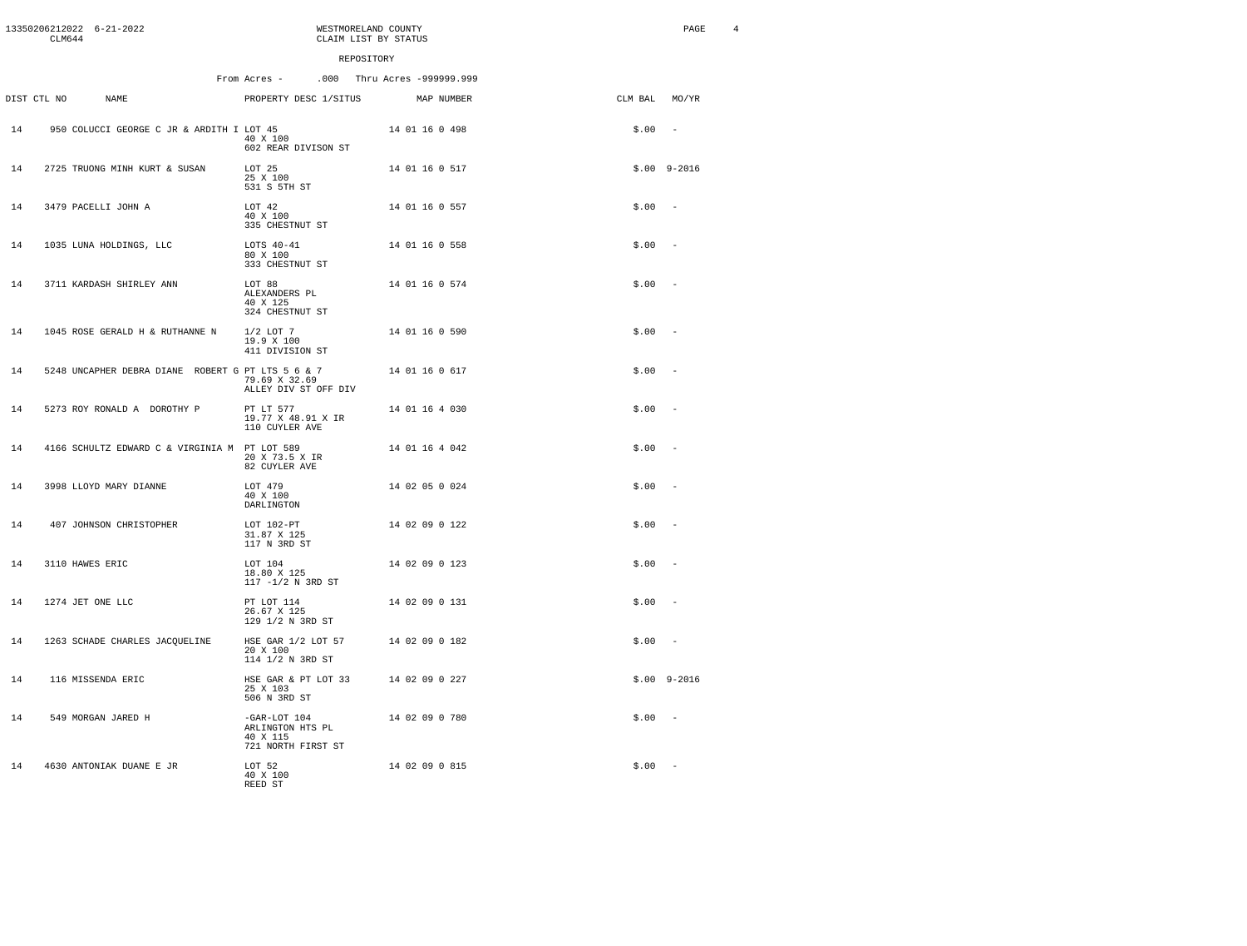|    | CLM644          | 13350206212022 6-21-2022                          |                                                                      | WESTMORELAND COUNTY<br>CLAIM LIST BY STATUS |                |               | $\overline{4}$<br>PAGE   |
|----|-----------------|---------------------------------------------------|----------------------------------------------------------------------|---------------------------------------------|----------------|---------------|--------------------------|
|    |                 |                                                   |                                                                      | REPOSITORY                                  |                |               |                          |
|    |                 |                                                   | From Acres - .000 Thru Acres -999999.999                             |                                             |                |               |                          |
|    | DIST CTL NO     | <b>NAME</b>                                       | PROPERTY DESC 1/SITUS                                                |                                             | MAP NUMBER     | CLM BAL MO/YR |                          |
| 14 |                 | 950 COLUCCI GEORGE C JR & ARDITH I LOT 45         | 40 X 100<br>602 REAR DIVISON ST                                      |                                             | 14 01 16 0 498 | \$.00         | $\sim$                   |
| 14 |                 | 2725 TRUONG MINH KURT & SUSAN                     | LOT 25<br>25 X 100<br>531 S 5TH ST                                   |                                             | 14 01 16 0 517 |               | $$.00$ $9-2016$          |
| 14 |                 | 3479 PACELLI JOHN A                               | LOT 42<br>40 X 100<br>335 CHESTNUT ST                                |                                             | 14 01 16 0 557 | \$.00         | $\overline{\phantom{a}}$ |
| 14 |                 | 1035 LUNA HOLDINGS, LLC                           | LOTS 40-41<br>80 X 100<br>333 CHESTNUT ST                            |                                             | 14 01 16 0 558 | \$.00         | $\sim$                   |
| 14 |                 | 3711 KARDASH SHIRLEY ANN                          | LOT 88<br>ALEXANDERS PL<br>40 X 125<br>324 CHESTNUT ST               |                                             | 14 01 16 0 574 | $$.00 -$      |                          |
| 14 |                 | 1045 ROSE GERALD H & RUTHANNE N                   | $1/2$ LOT $7$<br>19.9 X 100<br>411 DIVISION ST                       |                                             | 14 01 16 0 590 | \$.00         | $\sim$                   |
| 14 |                 | 5248 UNCAPHER DEBRA DIANE ROBERT G PT LTS 5 6 & 7 | 79.69 X 32.69<br>ALLEY DIV ST OFF DIV                                |                                             | 14 01 16 0 617 | \$.00         |                          |
| 14 |                 | 5273 ROY RONALD A DOROTHY P                       | PT LT 577<br>19.77 X 48.91 X IR<br>110 CUYLER AVE                    |                                             | 14 01 16 4 030 | \$.00         | $\sim$                   |
| 14 |                 | 4166 SCHULTZ EDWARD C & VIRGINIA M PT LOT 589     | 20 X 73.5 X IR<br>82 CUYLER AVE                                      |                                             | 14 01 16 4 042 | \$.00         | $\sim$                   |
| 14 |                 | 3998 LLOYD MARY DIANNE                            | LOT 479<br>40 X 100<br>DARLINGTON                                    |                                             | 14 02 05 0 024 | \$.00         | $\sim$                   |
| 14 |                 | 407 JOHNSON CHRISTOPHER                           | LOT 102-PT<br>31.87 X 125<br>117 N 3RD ST                            |                                             | 14 02 09 0 122 | \$.00         | $\sim$                   |
| 14 | 3110 HAWES ERIC |                                                   | LOT 104<br>18.80 X 125<br>117 -1/2 N 3RD ST                          |                                             | 14 02 09 0 123 | \$.00         | $\sim$                   |
| 14 |                 | 1274 JET ONE LLC                                  | PT LOT 114<br>26.67 X 125<br>129 1/2 N 3RD ST                        |                                             | 14 02 09 0 131 | \$.00         | $\sim$                   |
| 14 |                 | 1263 SCHADE CHARLES JACQUELINE                    | HSE GAR 1/2 LOT 57<br>20 X 100<br>114 1/2 N 3RD ST                   |                                             | 14 02 09 0 182 | $$.00 -$      |                          |
| 14 |                 | 116 MISSENDA ERIC                                 | HSE GAR & PT LOT 33<br>25 X 103<br>506 N 3RD ST                      |                                             | 14 02 09 0 227 |               | $$.00$ $9-2016$          |
| 14 |                 | 549 MORGAN JARED H                                | $-GAR-LOT$ 104<br>ARLINGTON HTS PL<br>40 X 115<br>721 NORTH FIRST ST |                                             | 14 02 09 0 780 | $$.00 -$      |                          |
| 14 |                 | 4630 ANTONIAK DUANE E JR                          | LOT 52<br>40 X 100<br>REED ST                                        |                                             | 14 02 09 0 815 | $$.00 -$      |                          |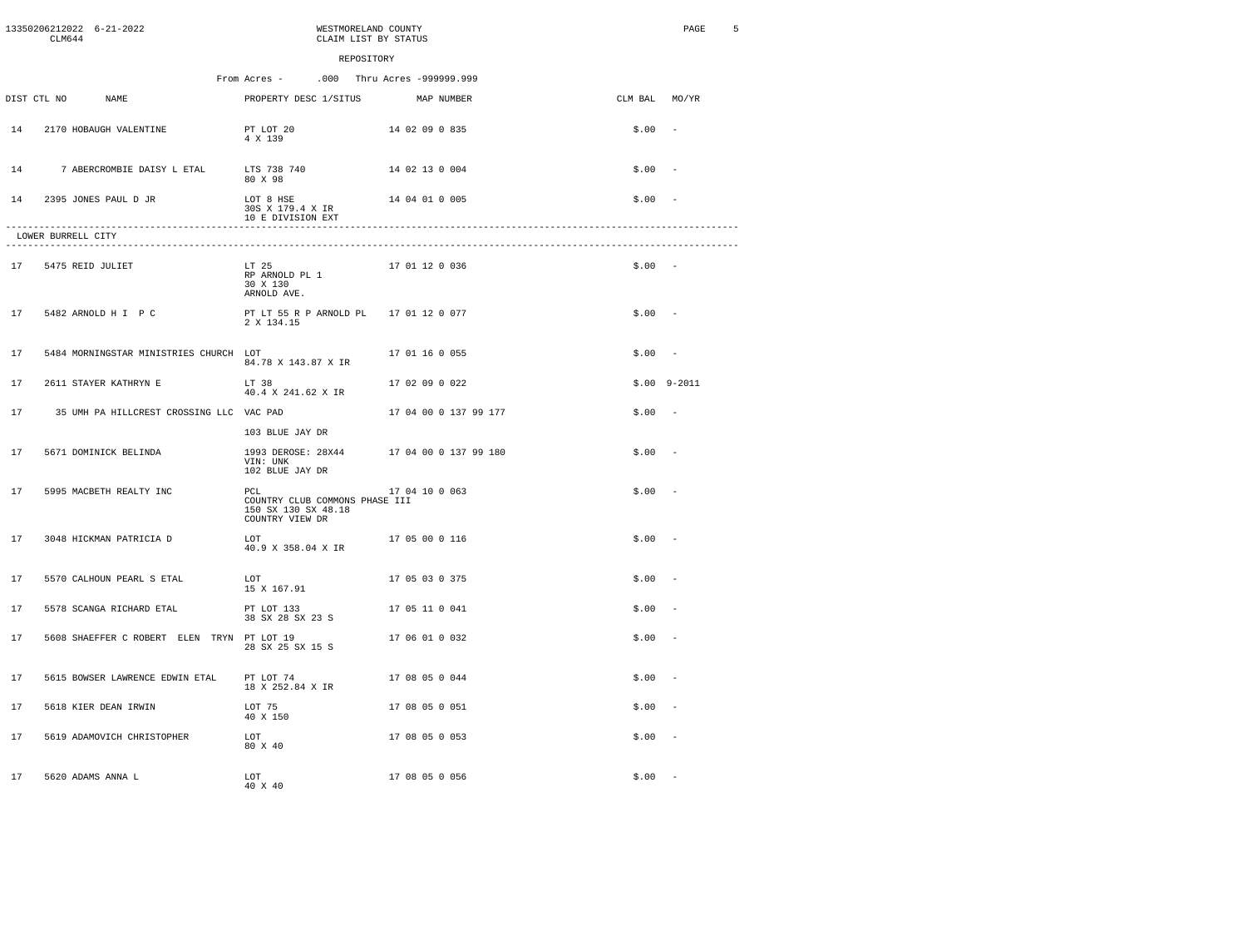|    | CT M644             | 13350206212022 6-21-2022                   | WESTMORELAND COUNTY<br>CLAIM LIST BY STATUS                                     |                |                       |               | PAGE            | 5 |
|----|---------------------|--------------------------------------------|---------------------------------------------------------------------------------|----------------|-----------------------|---------------|-----------------|---|
|    |                     |                                            | REPOSITORY                                                                      |                |                       |               |                 |   |
|    |                     |                                            | From Acres -<br>.000 Thru Acres -999999.999                                     |                |                       |               |                 |   |
|    | DIST CTL NO         | <b>NAME</b>                                | PROPERTY DESC 1/SITUS                                                           |                | MAP NUMBER            | CLM BAL MO/YR |                 |   |
| 14 |                     | 2170 HOBAUGH VALENTINE                     | PT LOT 20<br>4 X 139                                                            | 14 02 09 0 835 |                       | $$.00 -$      |                 |   |
| 14 |                     |                                            | 7 ABERCROMBIE DAISY L ETAL LTS 738 740 14 02 13 0 004<br>80 X 98                |                |                       | $$.00 -$      |                 |   |
| 14 |                     | 2395 JONES PAUL D JR                       | LOT 8 HSE<br>30S X 179.4 X IR<br>10 E DIVISION EXT                              | 14 04 01 0 005 |                       | $$.00 -$      |                 |   |
|    | LOWER BURRELL CITY  |                                            |                                                                                 |                |                       |               |                 |   |
|    | 17 5475 REID JULIET |                                            | LT 25<br>RP ARNOLD PL 1<br>30 X 130<br>ARNOLD AVE.                              | 17 01 12 0 036 |                       | $$.00 -$      |                 |   |
| 17 |                     | 5482 ARNOLD H I P C                        | PT LT 55 R P ARNOLD PL 17 01 12 0 077<br>2 X 134.15                             |                |                       | $$.00 -$      |                 |   |
| 17 |                     | 5484 MORNINGSTAR MINISTRIES CHURCH LOT     | 84.78 X 143.87 X IR                                                             | 17 01 16 0 055 |                       | $$.00 -$      |                 |   |
| 17 |                     | 2611 STAYER KATHRYN E                      | LT 38<br>40.4 X 241.62 X IR                                                     | 17 02 09 0 022 |                       |               | $$.00$ $9-2011$ |   |
| 17 |                     | 35 UMH PA HILLCREST CROSSING LLC VAC PAD   |                                                                                 |                | 17 04 00 0 137 99 177 | $$.00 -$      |                 |   |
|    |                     |                                            | 103 BLUE JAY DR                                                                 |                |                       |               |                 |   |
| 17 |                     | 5671 DOMINICK BELINDA                      | 1993 DEROSE: 28X44<br>VIN: UNK<br>102 BLUE JAY DR                               |                | 17 04 00 0 137 99 180 | $$.00 -$      |                 |   |
| 17 |                     | 5995 MACBETH REALTY INC                    | PCL<br>COUNTRY CLUB COMMONS PHASE III<br>150 SX 130 SX 48.18<br>COUNTRY VIEW DR | 17 04 10 0 063 |                       | $$.00 -$      |                 |   |
| 17 |                     | 3048 HICKMAN PATRICIA D                    | LOT<br>40.9 X 358.04 X IR                                                       | 17 05 00 0 116 |                       | \$.00         |                 |   |
| 17 |                     | 5570 CALHOUN PEARL S ETAL                  | LOT<br>15 X 167.91                                                              | 17 05 03 0 375 |                       | $$.00 -$      |                 |   |
| 17 |                     | 5578 SCANGA RICHARD ETAL                   | PT LOT 133<br>38 SX 28 SX 23 S                                                  | 17 05 11 0 041 |                       | \$.00         |                 |   |
| 17 |                     | 5608 SHAEFFER C ROBERT ELEN TRYN PT LOT 19 | 28 SX 25 SX 15 S                                                                | 17 06 01 0 032 |                       | $$.00 -$      |                 |   |
| 17 |                     | 5615 BOWSER LAWRENCE EDWIN ETAL            | PT LOT 74<br>18 X 252.84 X IR                                                   | 17 08 05 0 044 |                       | $$.00 -$      |                 |   |
| 17 |                     | 5618 KIER DEAN IRWIN                       | LOT 75<br>40 X 150                                                              | 17 08 05 0 051 |                       | $$.00 -$      |                 |   |
| 17 |                     | 5619 ADAMOVICH CHRISTOPHER                 | LOT<br>80 X 40                                                                  | 17 08 05 0 053 |                       | $$.00 -$      |                 |   |
| 17 |                     | 5620 ADAMS ANNA L                          | LOT<br>40 X 40                                                                  | 17 08 05 0 056 |                       | $$.00 -$      |                 |   |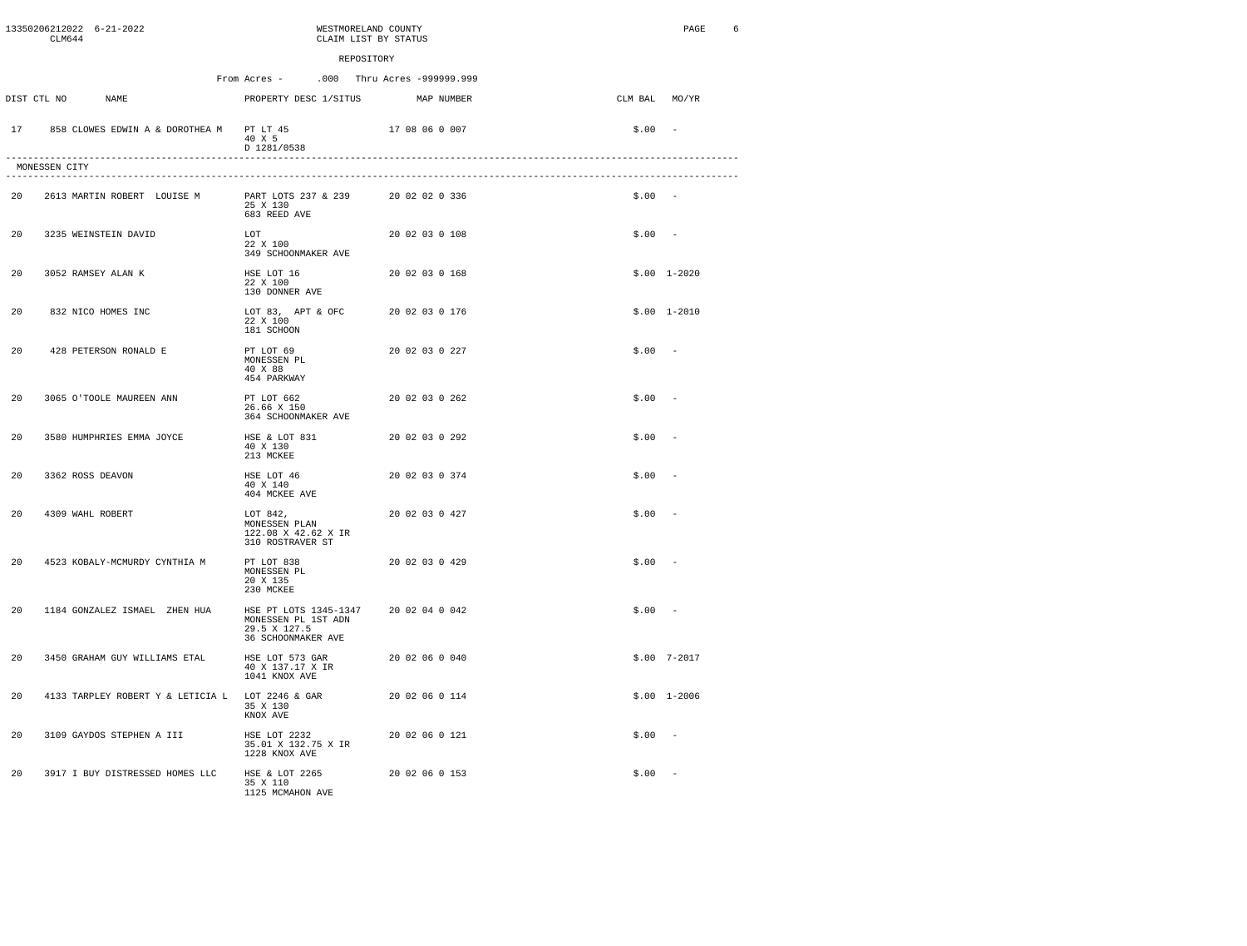|     | CLM644        | 13350206212022 6-21-2022                         |                                                                      | WESTMORELAND COUNTY<br>CLAIM LIST BY STATUS |            |               | PAGE<br>6     |
|-----|---------------|--------------------------------------------------|----------------------------------------------------------------------|---------------------------------------------|------------|---------------|---------------|
|     |               |                                                  |                                                                      | REPOSITORY                                  |            |               |               |
|     |               |                                                  | From Acres -                                                         | .000 Thru Acres -999999.999                 |            |               |               |
|     | DIST CTL NO   | NAME                                             | PROPERTY DESC 1/SITUS                                                |                                             | MAP NUMBER | CLM BAL MO/YR |               |
| 17  |               | 858 CLOWES EDWIN A & DOROTHEA M PT LT 45         | 40 X 5<br>D 1281/0538                                                | 17 08 06 0 007                              |            | $$.00 -$      |               |
|     | MONESSEN CITY |                                                  |                                                                      |                                             |            |               |               |
| 20  |               | 2613 MARTIN ROBERT LOUISE M                      | PART LOTS 237 & 239<br>25 X 130<br>683 REED AVE                      | 20 02 02 0 336                              |            | $$.00 -$      |               |
| 20  |               | 3235 WEINSTEIN DAVID                             | LOT<br>22 X 100<br>349 SCHOONMAKER AVE                               | 20 02 03 0 108                              |            | $$.00 -$      |               |
| 20  |               | 3052 RAMSEY ALAN K                               | HSE LOT 16<br>22 X 100<br>130 DONNER AVE                             | 20 02 03 0 168                              |            |               | $$.00$ 1-2020 |
| 20  |               | 832 NICO HOMES INC                               | LOT 83, APT & OFC<br>22 X 100<br>181 SCHOON                          | 20 02 03 0 176                              |            |               | $$.00$ 1-2010 |
| 20  |               | 428 PETERSON RONALD E                            | PT LOT 69<br>MONESSEN PL<br>40 X 88<br>454 PARKWAY                   | 20 02 03 0 227                              |            | $$.00 -$      |               |
| 20  |               | 3065 O'TOOLE MAUREEN ANN                         | PT LOT 662<br>26.66 X 150<br>364 SCHOONMAKER AVE                     | 20 02 03 0 262                              |            | \$.00         |               |
| 20  |               | 3580 HUMPHRIES EMMA JOYCE                        | HSE & LOT 831<br>40 X 130<br>213 MCKEE                               | 20 02 03 0 292                              |            | \$.00         |               |
| 20  |               | 3362 ROSS DEAVON                                 | HSE LOT 46<br>40 X 140<br>404 MCKEE AVE                              | 20 02 03 0 374                              |            | \$.00         |               |
| 20  |               | 4309 WAHL ROBERT                                 | LOT 842,<br>MONESSEN PLAN<br>122.08 X 42.62 X IR<br>310 ROSTRAVER ST | 20 02 03 0 427                              |            | \$.00         |               |
| 2.0 |               | 4523 KOBALY-MCMURDY CYNTHIA M                    | PT LOT 838<br>MONESSEN PL<br>20 X 135<br>230 MCKEE                   | 20 02 03 0 429                              |            | $$.00 -$      |               |
| 2.0 |               | 1184 GONZALEZ ISMAEL ZHEN HUA                    | MONESSEN PL 1ST ADN<br>29.5 X 127.5<br>36 SCHOONMAKER AVE            | HSE PT LOTS 1345-1347 20 02 04 0 042        |            | $$.00 -$      |               |
| 2.0 |               | 3450 GRAHAM GUY WILLIAMS ETAL                    | HSE LOT 573 GAR<br>40 X 137.17 X IR<br>1041 KNOX AVE                 | 20 02 06 0 040                              |            |               | $$.00$ 7-2017 |
| 20  |               | 4133 TARPLEY ROBERT Y & LETICIA L LOT 2246 & GAR | 35 X 130<br>KNOX AVE                                                 | 20 02 06 0 114                              |            |               | $$.00$ 1-2006 |
| 2.0 |               | 3109 GAYDOS STEPHEN A III                        | HSE LOT 2232<br>35.01 X 132.75 X IR<br>1228 KNOX AVE                 | 20 02 06 0 121                              |            | $$.00 -$      |               |
| 20  |               | 3917 I BUY DISTRESSED HOMES LLC                  | HSE & LOT 2265<br>35 X 110<br>1125 MCMAHON AVE                       | 20 02 06 0 153                              |            | \$.00         |               |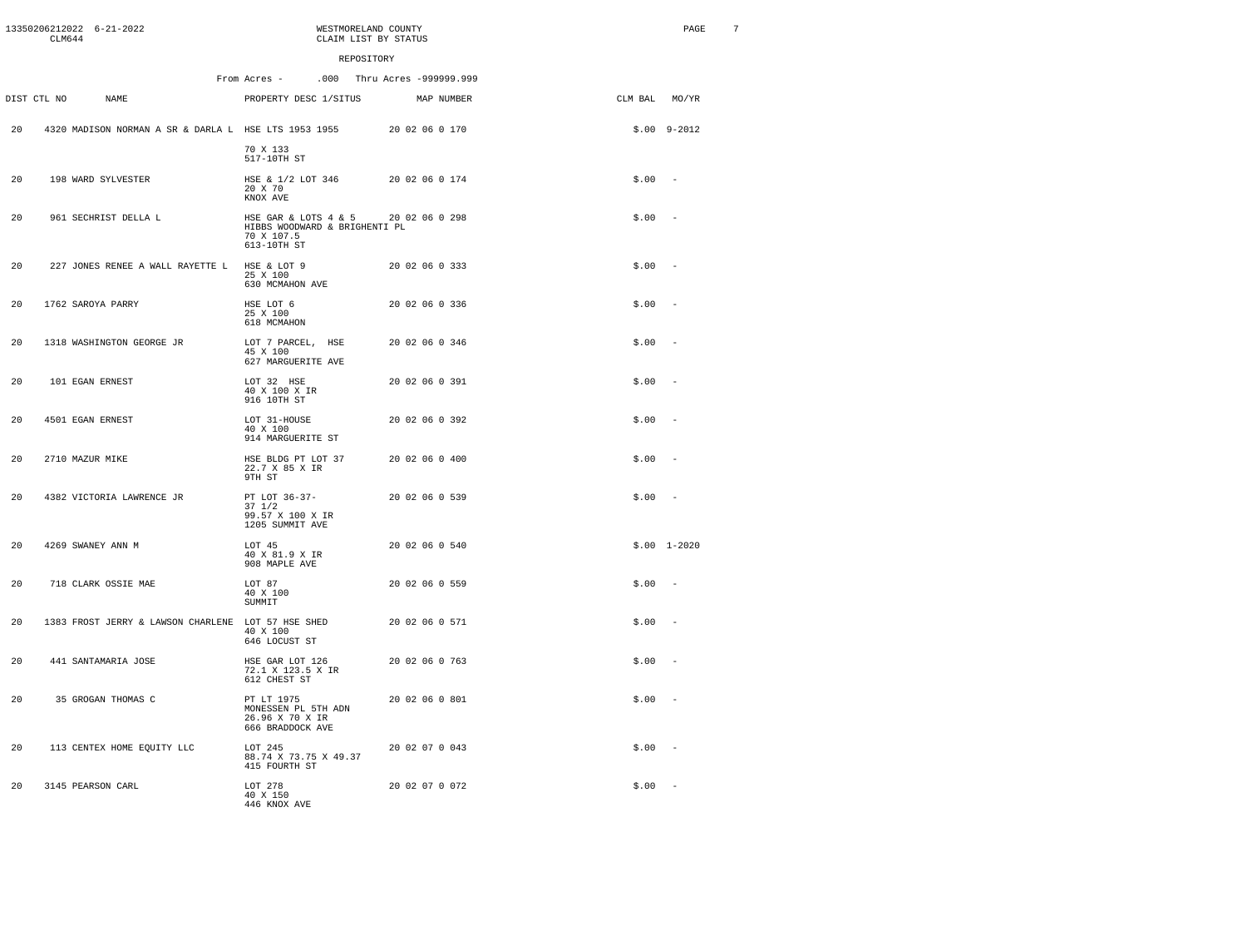|     | CLM644          | 13350206212022 6-21-2022                             | WESTMORELAND COUNTY<br>CLAIM LIST BY STATUS                                                       |                             |               | PAGE                     | 7 |
|-----|-----------------|------------------------------------------------------|---------------------------------------------------------------------------------------------------|-----------------------------|---------------|--------------------------|---|
|     |                 |                                                      | REPOSITORY                                                                                        |                             |               |                          |   |
|     |                 |                                                      | From Acres -                                                                                      | .000 Thru Acres -999999.999 |               |                          |   |
|     | DIST CTL NO     | NAME                                                 | PROPERTY DESC 1/SITUS                                                                             | MAP NUMBER                  | CLM BAL MO/YR |                          |   |
| 20  |                 | 4320 MADISON NORMAN A SR & DARLA L HSE LTS 1953 1955 | 70 X 133<br>517-10TH ST                                                                           | 20 02 06 0 170              |               | $$.00$ $9-2012$          |   |
| 20  |                 | 198 WARD SYLVESTER                                   | HSE & 1/2 LOT 346<br>20 X 70<br>KNOX AVE                                                          | 20 02 06 0 174              | \$.00         | $\sim$                   |   |
| 20  |                 | 961 SECHRIST DELLA L                                 | HSE GAR & LOTS 4 & 5 20 02 06 0 298<br>HIBBS WOODWARD & BRIGHENTI PL<br>70 X 107.5<br>613-10TH ST |                             | \$.00         |                          |   |
| 20  |                 | 227 JONES RENEE A WALL RAYETTE L                     | HSE & LOT 9<br>25 X 100<br>630 MCMAHON AVE                                                        | 20 02 06 0 333              | \$.00         | $\sim$                   |   |
| 20  |                 | 1762 SAROYA PARRY                                    | HSE LOT 6<br>25 X 100<br>618 MCMAHON                                                              | 20 02 06 0 336              | \$.00         | $\sim$                   |   |
| 20  |                 | 1318 WASHINGTON GEORGE JR                            | LOT 7 PARCEL, HSE<br>45 X 100<br>627 MARGUERITE AVE                                               | 20 02 06 0 346              | \$.00         | $\overline{\phantom{a}}$ |   |
| 20  |                 | 101 EGAN ERNEST                                      | LOT 32 HSE<br>40 X 100 X IR<br>916 10TH ST                                                        | 20 02 06 0 391              | \$.00         | $\overline{a}$           |   |
| 20  |                 | 4501 EGAN ERNEST                                     | LOT 31-HOUSE<br>40 X 100<br>914 MARGUERITE ST                                                     | 20 02 06 0 392              | \$.00         |                          |   |
| 20  | 2710 MAZUR MIKE |                                                      | HSE BLDG PT LOT 37<br>22.7 X 85 X IR<br>9TH ST                                                    | 20 02 06 0 400              | \$.00         | $\overline{\phantom{a}}$ |   |
| 20  |                 | 4382 VICTORIA LAWRENCE JR                            | PT LOT 36-37-<br>$37 \frac{1}{2}$<br>99.57 X 100 X IR<br>1205 SUMMIT AVE                          | 20 02 06 0 539              | \$.00         | $\sim$                   |   |
| 20  |                 | 4269 SWANEY ANN M                                    | LOT 45<br>40 X 81.9 X IR<br>908 MAPLE AVE                                                         | 20 02 06 0 540              |               | $$.00$ 1-2020            |   |
| 20  |                 | 718 CLARK OSSIE MAE                                  | LOT 87<br>40 X 100<br>SUMMIT                                                                      | 20 02 06 0 559              | \$.00         | $\sim$                   |   |
| 2.0 |                 | 1383 FROST JERRY & LAWSON CHARLENE LOT 57 HSE SHED   | 40 X 100<br>646 LOCUST ST                                                                         | 20 02 06 0 571              | \$.00         | $\overline{a}$           |   |
| 20  |                 | 441 SANTAMARIA JOSE                                  | HSE GAR LOT 126<br>72.1 X 123.5 X IR<br>612 CHEST ST                                              | 20 02 06 0 763              | \$.00         |                          |   |
| 20  |                 | 35 GROGAN THOMAS C                                   | PT LT 1975<br>$\verb+MONESSEN PL 5TH ADN+$<br>26.96 X 70 X IR<br>666 BRADDOCK AVE                 | 20 02 06 0 801              | \$.00         |                          |   |
| 2.0 |                 | 113 CENTEX HOME EQUITY LLC                           | LOT 245<br>88.74 X 73.75 X 49.37<br>415 FOURTH ST                                                 | 20 02 07 0 043              | \$.00         | $\overline{\phantom{a}}$ |   |
| 20  |                 | 3145 PEARSON CARL                                    | LOT 278<br>40 X 150<br>446 KNOX AVE                                                               | 20 02 07 0 072              | \$.00         |                          |   |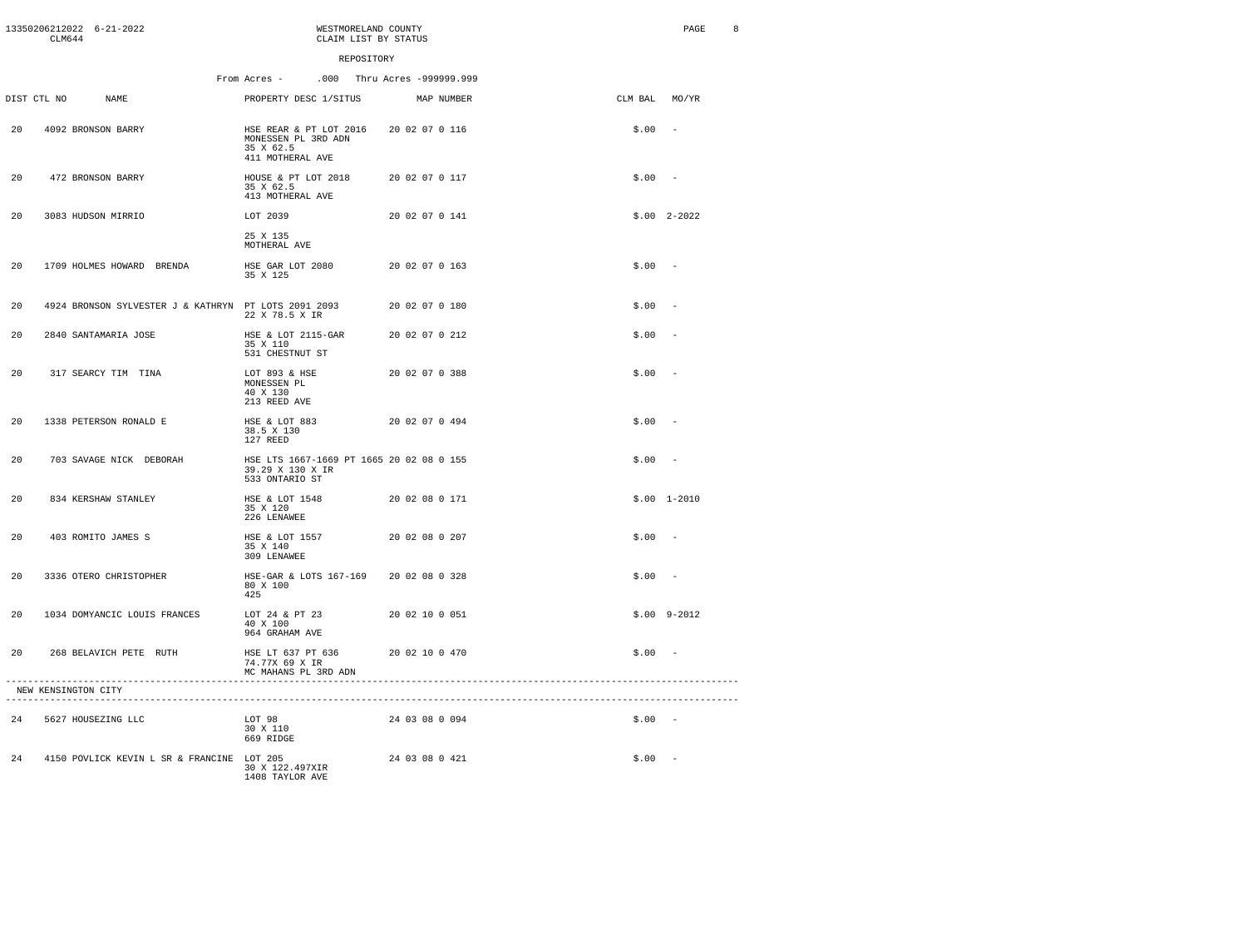|     | CLM644              | 13350206212022 6-21-2022     |                                            | WESTMORELAND COUNTY<br>CLAIM LIST BY STATUS                                                   |                |               | PAGE          | 8 |
|-----|---------------------|------------------------------|--------------------------------------------|-----------------------------------------------------------------------------------------------|----------------|---------------|---------------|---|
|     |                     |                              |                                            | REPOSITORY                                                                                    |                |               |               |   |
|     |                     |                              |                                            | .000 Thru Acres -999999.999<br>From Acres -                                                   |                |               |               |   |
|     | DIST CTL NO         | NAME.                        |                                            | PROPERTY DESC 1/SITUS                                                                         | MAP NUMBER     | CLM BAL MO/YR |               |   |
| 20  |                     | 4092 BRONSON BARRY           |                                            | HSE REAR & PT LOT 2016 20 02 07 0 116<br>MONESSEN PL 3RD ADN<br>35 X 62.5<br>411 MOTHERAL AVE |                | \$.00         | $\sim$        |   |
| 20  |                     | 472 BRONSON BARRY            |                                            | HOUSE & PT LOT 2018<br>35 X 62.5<br>413 MOTHERAL AVE                                          | 20 02 07 0 117 | $$.00 -$      |               |   |
| 20  |                     | 3083 HUDSON MIRRIO           |                                            | LOT 2039                                                                                      | 20 02 07 0 141 |               | $$.00$ 2-2022 |   |
|     |                     |                              |                                            | 25 X 135<br>MOTHERAL AVE                                                                      |                |               |               |   |
| 20  |                     | 1709 HOLMES HOWARD BRENDA    |                                            | HSE GAR LOT 2080<br>35 X 125                                                                  | 20 02 07 0 163 | \$.00         | $\sim$        |   |
| 20  |                     |                              |                                            | 4924 BRONSON SYLVESTER J & KATHRYN PT LOTS 2091 2093<br>22 X 78.5 X IR                        | 20 02 07 0 180 | \$.00         |               |   |
| 20  |                     | 2840 SANTAMARIA JOSE         |                                            | HSE & LOT 2115-GAR<br>35 X 110<br>531 CHESTNUT ST                                             | 20 02 07 0 212 | \$.00         | $\sim$        |   |
| 20  |                     | 317 SEARCY TIM TINA          |                                            | LOT 893 & HSE<br>MONESSEN PL<br>40 X 130<br>213 REED AVE                                      | 20 02 07 0 388 | \$.00         | $\sim$        |   |
| 2.0 |                     | 1338 PETERSON RONALD E       |                                            | HSE & LOT 883<br>38.5 X 130<br>127 REED                                                       | 20 02 07 0 494 | $$.00 -$      |               |   |
| 20  |                     | 703 SAVAGE NICK DEBORAH      |                                            | HSE LTS 1667-1669 PT 1665 20 02 08 0 155<br>39.29 X 130 X IR<br>533 ONTARIO ST                |                | \$.00         |               |   |
| 20  |                     | 834 KERSHAW STANLEY          |                                            | HSE & LOT 1548<br>35 X 120<br>226 LENAWEE                                                     | 20 02 08 0 171 |               | $$.00$ 1-2010 |   |
| 20  |                     | 403 ROMITO JAMES S           |                                            | HSE & LOT 1557<br>35 X 140<br>309 LENAWEE                                                     | 20 02 08 0 207 | \$.00         | $\sim$        |   |
| 2.0 |                     | 3336 OTERO CHRISTOPHER       |                                            | HSE-GAR & LOTS 167-169<br>80 X 100<br>425                                                     | 20 02 08 0 328 | $$.00 -$      |               |   |
| 20  |                     | 1034 DOMYANCIC LOUIS FRANCES |                                            | LOT 24 & PT 23<br>40 X 100<br>964 GRAHAM AVE                                                  | 20 02 10 0 051 |               | $$.00$ 9-2012 |   |
| 20  |                     | 268 BELAVICH PETE RUTH       |                                            | HSE LT 637 PT 636<br>74.77X 69 X IR<br>MC MAHANS PL 3RD ADN                                   | 20 02 10 0 470 | $$.00 -$      |               |   |
|     | NEW KENSINGTON CITY |                              |                                            |                                                                                               |                |               |               |   |
|     |                     | 24 5627 HOUSEZING LLC        |                                            | LOT 98<br>30 X 110<br>669 RIDGE                                                               | 24 03 08 0 094 | $$.00 -$      |               |   |
| 24  |                     |                              | 4150 POVLICK KEVIN L SR & FRANCINE LOT 205 | 30 X 122.497XIR<br>1408 TAYLOR AVE                                                            | 24 03 08 0 421 | $$.00 -$      |               |   |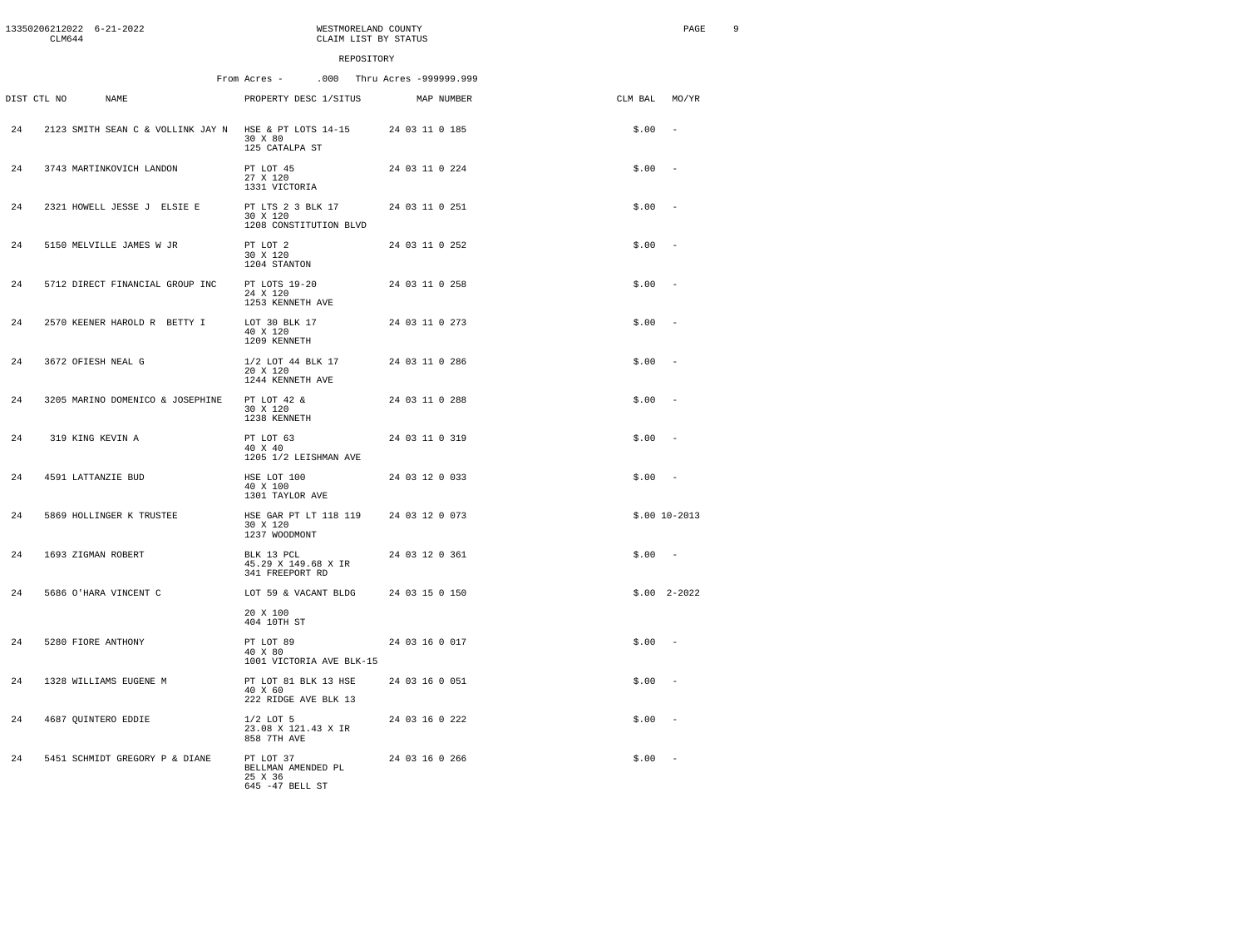|     | CLM644      | 13350206212022 6-21-2022                              | WESTMORELAND COUNTY<br>CLAIM LIST BY STATUS                     |                             |               | PAGE             | 9 |
|-----|-------------|-------------------------------------------------------|-----------------------------------------------------------------|-----------------------------|---------------|------------------|---|
|     |             |                                                       | REPOSITORY                                                      |                             |               |                  |   |
|     |             |                                                       | From Acres -                                                    | .000 Thru Acres -999999.999 |               |                  |   |
|     | DIST CTL NO | NAME                                                  | PROPERTY DESC 1/SITUS                                           | MAP NUMBER                  | CLM BAL MO/YR |                  |   |
| 2.4 |             | 2123 SMITH SEAN C & VOLLINK JAY N HSE & PT LOTS 14-15 | 30 X 80<br>125 CATALPA ST                                       | 24 03 11 0 185              | \$.00         | $\sim$           |   |
| 24  |             | 3743 MARTINKOVICH LANDON                              | PT LOT 45<br>27 X 120<br>1331 VICTORIA                          | 24 03 11 0 224              | $$.00 -$      |                  |   |
| 24  |             | 2321 HOWELL JESSE J ELSIE E                           | PT LTS 2 3 BLK 17<br>30 X 120<br>1208 CONSTITUTION BLVD         | 24 03 11 0 251              | \$.00         |                  |   |
| 24  |             | 5150 MELVILLE JAMES W JR                              | PT LOT 2<br>30 X 120<br>1204 STANTON                            | 24 03 11 0 252              | $$.00 -$      |                  |   |
| 24  |             | 5712 DIRECT FINANCIAL GROUP INC                       | PT LOTS 19-20<br>24 X 120<br>1253 KENNETH AVE                   | 24 03 11 0 258              | $$.00 -$      |                  |   |
| 2.4 |             | 2570 KEENER HAROLD R BETTY I                          | LOT 30 BLK 17<br>40 X 120<br>1209 KENNETH                       | 24 03 11 0 273              | $$.00 -$      |                  |   |
| 24  |             | 3672 OFIESH NEAL G                                    | 1/2 LOT 44 BLK 17<br>20 X 120<br>1244 KENNETH AVE               | 24 03 11 0 286              | \$.00         |                  |   |
| 2.4 |             | 3205 MARINO DOMENICO & JOSEPHINE                      | PT LOT 42 &<br>30 X 120<br>1238 KENNETH                         | 24 03 11 0 288              | \$.00         | $\sim$           |   |
| 24  |             | 319 KING KEVIN A                                      | PT LOT 63<br>40 X 40<br>1205 1/2 LEISHMAN AVE                   | 24 03 11 0 319              | $$.00 -$      |                  |   |
| 2.4 |             | 4591 LATTANZIE BUD                                    | HSE LOT 100<br>40 X 100<br>1301 TAYLOR AVE                      | 24 03 12 0 033              | $$.00 -$      |                  |   |
| 24  |             | 5869 HOLLINGER K TRUSTEE                              | HSE GAR PT LT 118 119<br>30 X 120<br>1237 WOODMONT              | 24 03 12 0 073              |               | $$.00$ $10-2013$ |   |
| 2.4 |             | 1693 ZIGMAN ROBERT                                    | BLK 13 PCL<br>45.29 X 149.68 X IR<br>341 FREEPORT RD            | 24 03 12 0 361              | $$.00 -$      |                  |   |
| 24  |             | 5686 O'HARA VINCENT C                                 | LOT 59 & VACANT BLDG                                            | 24 03 15 0 150              |               | $$.00$ 2-2022    |   |
|     |             |                                                       | 20 X 100<br>404 10TH ST                                         |                             |               |                  |   |
| 24  |             | 5280 FIORE ANTHONY                                    | PT LOT 89<br>40 X 80<br>1001 VICTORIA AVE BLK-15                | 24 03 16 0 017              | $$.00 -$      |                  |   |
| 24  |             | 1328 WILLIAMS EUGENE M                                | PT LOT 81 BLK 13 HSE<br>40 X 60<br>222 RIDGE AVE BLK 13         | 24 03 16 0 051              | $$.00 -$      |                  |   |
| 24  |             | 4687 QUINTERO EDDIE                                   | $1/2$ LOT 5<br>23.08 X 121.43 X IR<br>858 7TH AVE               | 24 03 16 0 222              | $$.00 -$      |                  |   |
| 2.4 |             | 5451 SCHMIDT GREGORY P & DIANE                        | PT LOT 37<br>BELLMAN AMENDED PL<br>25 X 36<br>$645$ -47 BELL ST | 24 03 16 0 266              | $$.00 -$      |                  |   |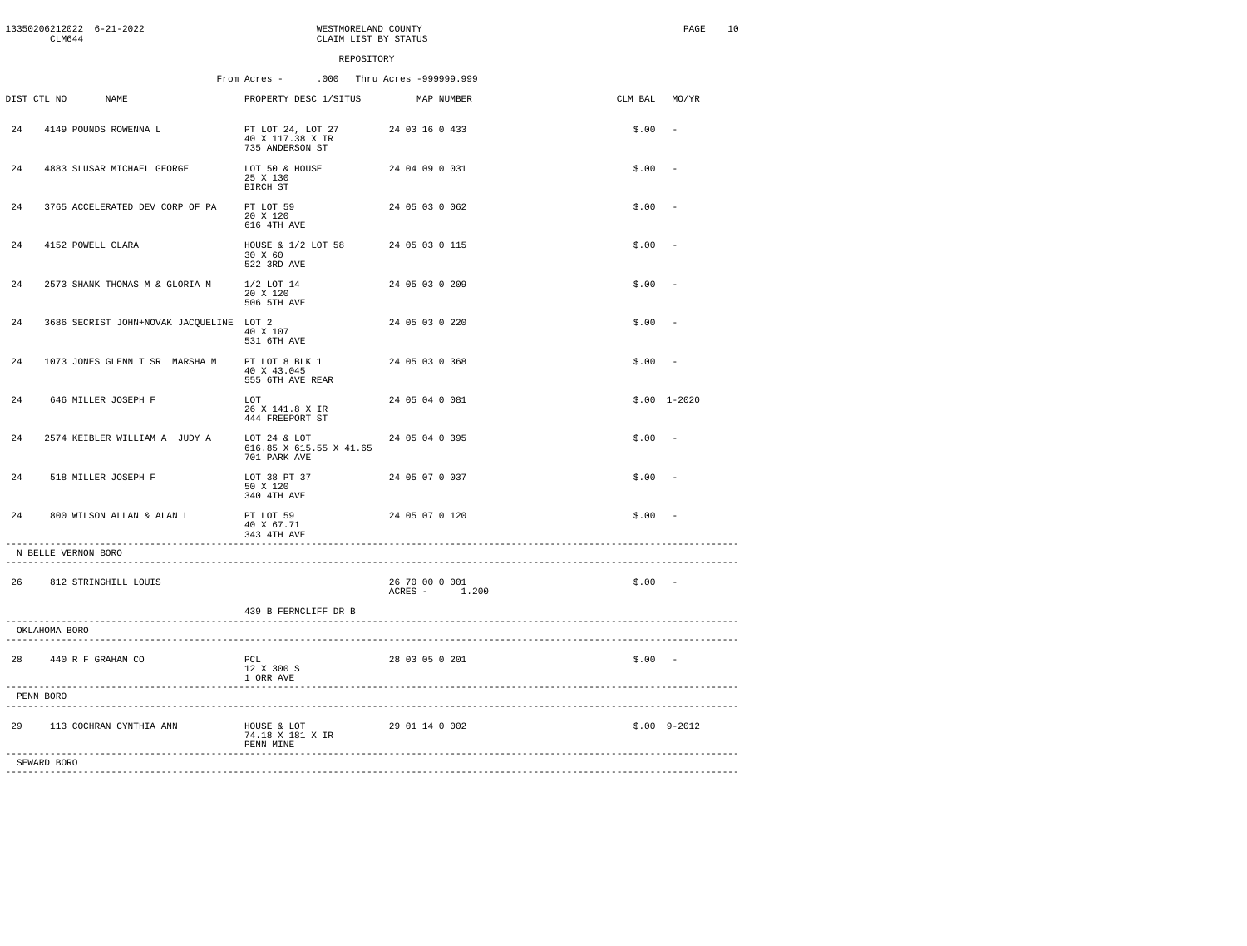| 13350206212022 6-21-2022<br>CLM644             | WESTMORELAND COUNTY<br>CLAIM LIST BY STATUS                        |                                 |          | 10<br>$\texttt{PAGE}$ |
|------------------------------------------------|--------------------------------------------------------------------|---------------------------------|----------|-----------------------|
|                                                | REPOSITORY                                                         |                                 |          |                       |
|                                                | From Acres -                                                       | .000 Thru Acres -999999.999     |          |                       |
| DIST CTL NO<br>NAME                            | PROPERTY DESC 1/SITUS                                              | MAP NUMBER                      | CLM BAL  | MO/YR                 |
| 4149 POUNDS ROWENNA L<br>24                    | PT LOT 24, LOT 27<br>40 X 117.38 X IR<br>735 ANDERSON ST           | 24 03 16 0 433                  | \$.00    |                       |
| 24<br>4883 SLUSAR MICHAEL GEORGE               | LOT 50 & HOUSE<br>25 X 130<br>BIRCH ST                             | 24 04 09 0 031                  | \$.00    | $\sim$                |
| 24<br>3765 ACCELERATED DEV CORP OF PA          | PT LOT 59<br>20 X 120<br>616 4TH AVE                               | 24 05 03 0 062                  | \$.00    | $\sim$                |
| 24<br>4152 POWELL CLARA                        | HOUSE & 1/2 LOT 58<br>30 X 60<br>522 3RD AVE                       | 24 05 03 0 115                  | \$.00    |                       |
| 24<br>2573 SHANK THOMAS M & GLORIA M           | $1/2$ LOT 14<br>20 X 120<br>506 5TH AVE                            | 24 05 03 0 209                  | \$.00    | $\overline{a}$        |
| 24<br>3686 SECRIST JOHN+NOVAK JACQUELINE LOT 2 | 40 X 107<br>531 6TH AVE                                            | 24 05 03 0 220                  | \$.00    |                       |
| 24<br>1073 JONES GLENN T SR MARSHA M           | PT LOT 8 BLK 1<br>40 X 43.045<br>555 6TH AVE REAR                  | 24 05 03 0 368                  | \$.00    | $\sim$                |
| 24<br>646 MILLER JOSEPH F                      | LOT<br>26 X 141.8 X IR<br>444 FREEPORT ST                          | 24 05 04 0 081                  |          | $$.00$ 1-2020         |
| 2574 KEIBLER WILLIAM A JUDY A<br>2.4           | LOT 24 & LOT<br>616.85 X 615.55 X 41.65<br>701 PARK AVE            | 24 05 04 0 395                  | \$.00    | $\sim$                |
| 2.4<br>518 MILLER JOSEPH F                     | LOT 38 PT 37<br>50 X 120<br>340 4TH AVE                            | 24 05 07 0 037                  | \$.00    | $\sim$                |
| 800 WILSON ALLAN & ALAN L<br>24                | PT LOT 59<br>40 X 67.71<br>343 4TH AVE                             | 24 05 07 0 120                  | \$.00    |                       |
| -----------------------<br>N BELLE VERNON BORO |                                                                    |                                 |          |                       |
| 26 812 STRINGHILL LOUIS                        |                                                                    | 26 70 00 0 001<br>ACRES - 1.200 | $$.00 -$ |                       |
|                                                | 439 B FERNCLIFF DR B                                               |                                 |          |                       |
| OKLAHOMA BORO                                  |                                                                    |                                 |          |                       |
| 28 440 R F GRAHAM CO                           | PCL<br>12 X 300 S<br>1 ORR AVE<br>-------------------------------- | 28 03 05 0 201                  | $$.00 -$ |                       |
| PENN BORO                                      |                                                                    |                                 |          |                       |
| 29 113 COCHRAN CYNTHIA ANN                     | HOUSE & LOT<br>74.18 X 181 X IR<br>PENN MINE                       | 29 01 14 0 002                  |          | $$.00$ 9-2012         |
| SEWARD BORO                                    |                                                                    |                                 |          |                       |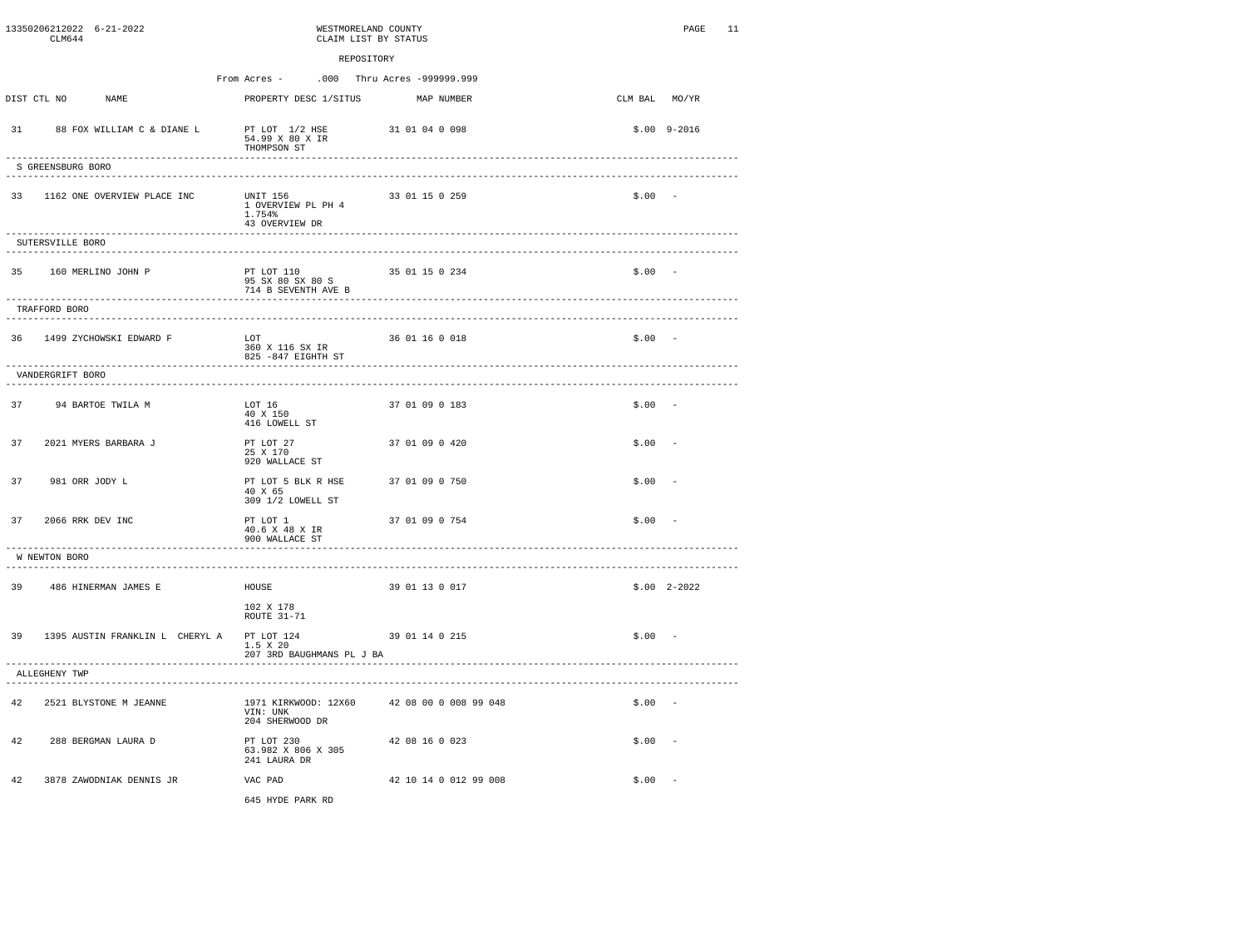|    | CLM644                               | 13350206212022 6-21-2022                                     | WESTMORELAND COUNTY<br>CLAIM LIST BY STATUS                                          |                             |               | 11<br>PAGE    |
|----|--------------------------------------|--------------------------------------------------------------|--------------------------------------------------------------------------------------|-----------------------------|---------------|---------------|
|    |                                      |                                                              | REPOSITORY                                                                           |                             |               |               |
|    |                                      |                                                              | From Acres -                                                                         | .000 Thru Acres -999999.999 |               |               |
|    | DIST CTL NO                          | <b>NAME</b>                                                  | PROPERTY DESC 1/SITUS                                                                | MAP NUMBER                  | CLM BAL MO/YR |               |
| 31 |                                      | 88 FOX WILLIAM C & DIANE L                                   | PT LOT 1/2 HSE<br>54.99 X 80 X IR<br>THOMPSON ST<br>________________________________ | 31 01 04 0 098              |               | $$.00$ 9-2016 |
|    | S GREENSBURG BORO<br>--------------- |                                                              | ----------------                                                                     |                             |               |               |
|    |                                      | 33 1162 ONE OVERVIEW PLACE INC<br>-----------------------    | UNIT 156<br>1 OVERVIEW PL PH 4<br>1.754%<br>43 OVERVIEW DR                           | 33 01 15 0 259              | $$.00 -$      |               |
|    | SUTERSVILLE BORO                     |                                                              |                                                                                      |                             |               |               |
|    |                                      | 35 160 MERLINO JOHN P                                        | PT LOT 110<br>$95$ SX 80 SX 80 S<br>714 B SEVENTH AVE B                              | 35 01 15 0 234              | $$.00 -$      |               |
|    | TRAFFORD BORO                        |                                                              |                                                                                      |                             |               |               |
|    |                                      | 36 1499 ZYCHOWSKI EDWARD F                                   | LOT<br>360 X 116 SX IR<br>825 -847 EIGHTH ST                                         | 36 01 16 0 018              | $$.00 -$      |               |
|    | VANDERGRIFT BORO<br>.                | ----------------------                                       | ---------------------------------                                                    |                             |               |               |
|    |                                      | 37 94 BARTOE TWILA M                                         | LOT 16<br>40 X 150<br>416 LOWELL ST                                                  | 37 01 09 0 183              | $$.00 -$      |               |
| 37 |                                      | 2021 MYERS BARBARA J                                         | PT LOT 27<br>25 X 170<br>920 WALLACE ST                                              | 37 01 09 0 420              | \$.00         |               |
| 37 |                                      | 981 ORR JODY L                                               | PT LOT 5 BLK R HSE<br>40 X 65<br>309 1/2 LOWELL ST                                   | 37 01 09 0 750              | \$.00         |               |
| 37 |                                      | 2066 RRK DEV INC                                             | PT LOT 1<br>40.6 X 48 X IR<br>900 WALLACE ST                                         | 37 01 09 0 754              | $$.00 -$      |               |
|    | W NEWTON BORO                        |                                                              |                                                                                      |                             |               |               |
|    |                                      | 39 486 HINERMAN JAMES E                                      | HOUSE<br>102 X 178<br>ROUTE 31-71                                                    | 39 01 13 0 017              |               | $$.00$ 2-2022 |
| 39 |                                      | 1395 AUSTIN FRANKLIN L CHERYL A                              | PT LOT 124<br>1.5 X 20<br>207 3RD BAUGHMANS PL J BA                                  | 39 01 14 0 215              | $$.00 -$      |               |
|    | ALLEGHENY TWP                        | --------------------------------<br>------------------------ |                                                                                      |                             |               |               |
|    |                                      | 42 2521 BLYSTONE M JEANNE                                    | 1971 KIRKWOOD: 12X60<br>VIN: UNK<br>204 SHERWOOD DR                                  | 42 08 00 0 008 99 048       | $$.00 -$      |               |
| 42 |                                      | 288 BERGMAN LAURA D                                          | PT LOT 230<br>63.982 X 806 X 305<br>241 LAURA DR                                     | 42 08 16 0 023              | \$.00         |               |
| 42 |                                      | 3878 ZAWODNIAK DENNIS JR                                     | VAC PAD<br>645 HYDE PARK RD                                                          | 42 10 14 0 012 99 008       | \$.00         |               |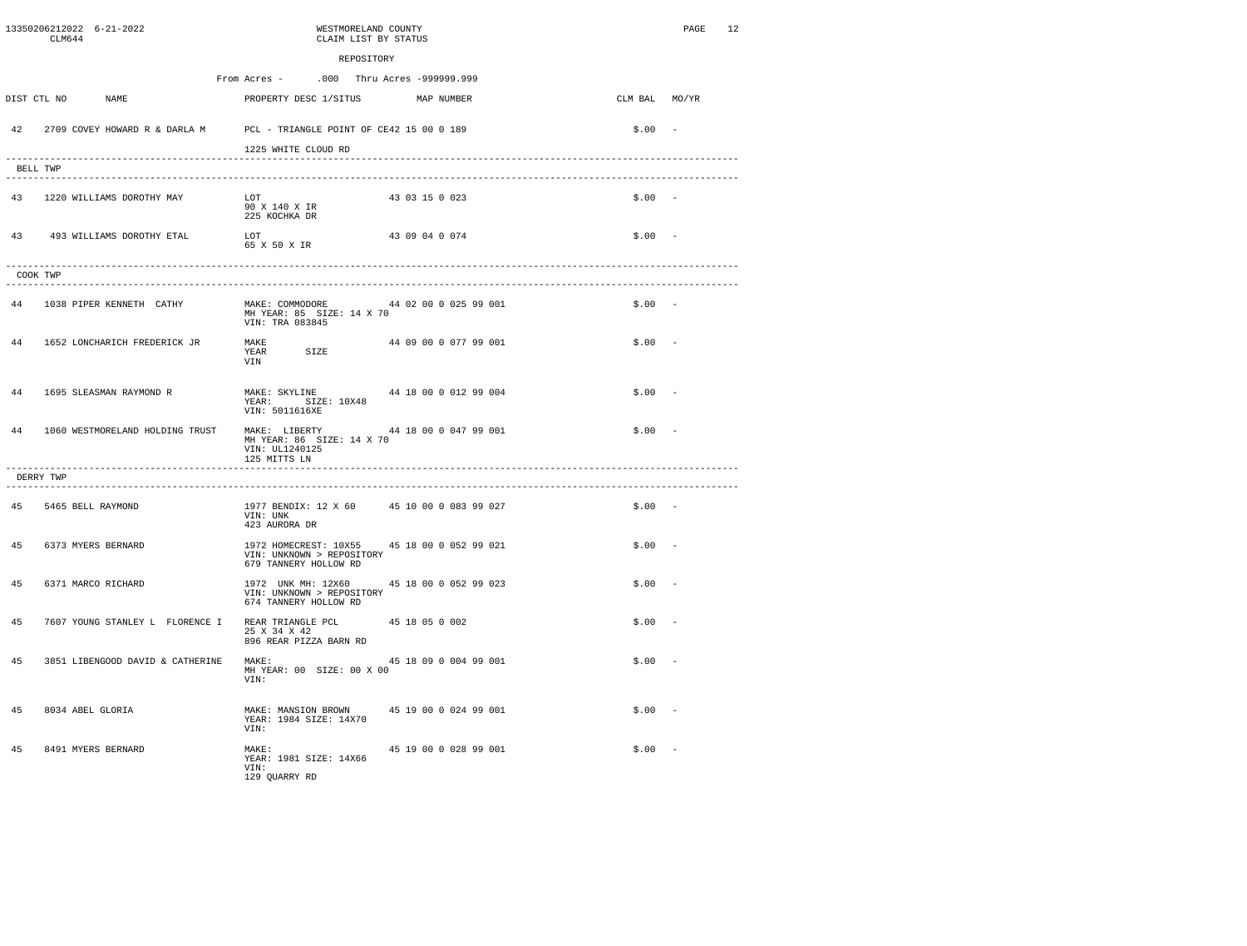|    | CLM644                     | 13350206212022 6-21-2022         | WESTMORELAND COUNTY<br>CLAIM LIST BY STATUS                                                                       | 12<br>PAGE |
|----|----------------------------|----------------------------------|-------------------------------------------------------------------------------------------------------------------|------------|
|    |                            |                                  | REPOSITORY                                                                                                        |            |
|    |                            |                                  | From Acres -<br>.000 Thru Acres -999999.999                                                                       |            |
|    | DIST CTL NO                | NAME                             | PROPERTY DESC 1/SITUS<br>MAP NUMBER<br>CLM BAL MO/YR                                                              |            |
|    |                            |                                  | 42 2709 COVEY HOWARD R & DARLA M PCL - TRIANGLE POINT OF CE42 15 00 0 189<br>$$.00 -$                             |            |
|    |                            |                                  | 1225 WHITE CLOUD RD                                                                                               |            |
|    | BELL TWP                   |                                  |                                                                                                                   |            |
|    |                            | 43 1220 WILLIAMS DOROTHY MAY     | T.OT<br>43 03 15 0 023<br>$$.00 -$<br>90 X 140 X IR<br>225 KOCHKA DR                                              |            |
|    |                            | 43 493 WILLIAMS DOROTHY ETAL     | LOT<br>43 09 04 0 074<br>$$.00 -$<br>65 X 50 X IR                                                                 |            |
|    | COOK TWP                   |                                  |                                                                                                                   |            |
|    |                            | 44 1038 PIPER KENNETH CATHY      | MAKE: COMMODORE<br>44 02 00 0 025 99 001<br>$$.00 -$<br>MH YEAR: 85 SIZE: 14 X 70<br>VIN: TRA 083845              |            |
| 44 |                            | 1652 LONCHARICH FREDERICK JR     | 44 09 00 0 077 99 001<br>$$.00 -$<br>MAKE<br>YEAR SIZE<br>VIN                                                     |            |
| 44 |                            | 1695 SLEASMAN RAYMOND R          | 44 18 00 0 012 99 004<br>MAKE: SKYLINE<br>$$.00 -$<br>YEAR: SIZE: 10X48<br>VIN: 5011616XE                         |            |
| 44 |                            | 1060 WESTMORELAND HOLDING TRUST  | MAKE: LIBERTY<br>44 18 00 0 047 99 001<br>$$.00 -$<br>MH YEAR: 86 SIZE: 14 X 70<br>VIN: UL1240125<br>125 MITTS LN |            |
|    | DERRY TWP<br>------------- |                                  | .                                                                                                                 |            |
|    |                            | 45 5465 BELL RAYMOND             | 1977 BENDIX: 12 X 60<br>45 10 00 0 083 99 027<br>$$.00 -$<br>VIN: UNK<br>423 AURORA DR                            |            |
| 45 |                            | 6373 MYERS BERNARD               | 1972 HOMECREST: 10X55 45 18 00 0 052 99 021<br>$$.00 -$<br>VIN: UNKNOWN > REPOSITORY<br>679 TANNERY HOLLOW RD     |            |
| 45 |                            | 6371 MARCO RICHARD               | 1972 UNK MH: 12X60<br>45 18 00 0 052 99 023<br>$$.00 -$<br>VIN: UNKNOWN > REPOSITORY<br>674 TANNERY HOLLOW RD     |            |
| 45 |                            | 7607 YOUNG STANLEY L FLORENCE I  | \$.00<br>REAR TRIANGLE PCL<br>45 18 05 0 002<br>25 X 34 X 42<br>896 REAR PIZZA BARN RD                            |            |
| 45 |                            | 3851 LIBENGOOD DAVID & CATHERINE | 45 18 09 0 004 99 001<br>\$.00<br>MAKE:<br>MH YEAR: 00 SIZE: 00 X 00<br>VTN:                                      |            |
| 45 |                            | 8034 ABEL GLORIA                 | MAKE: MANSION BROWN<br>45 19 00 0 024 99 001<br>$$.00 -$<br>YEAR: 1984 SIZE: 14X70<br>VIN:                        |            |
| 45 |                            | 8491 MYERS BERNARD               | 45 19 00 0 028 99 001<br>\$.00<br>MAKE:<br>YEAR: 1981 SIZE: 14X66<br>VIN:<br>129 QUARRY RD                        |            |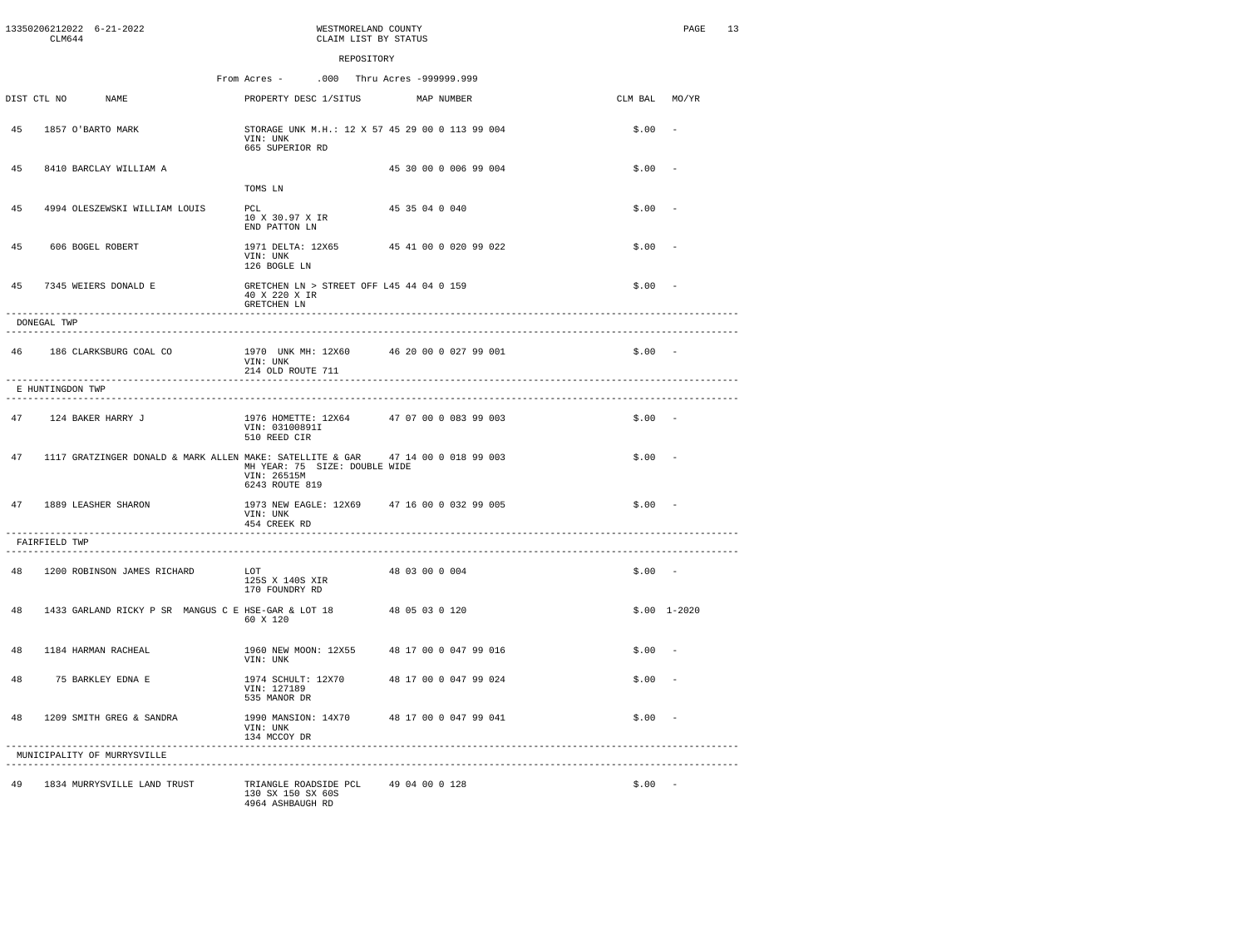|    | CLM644                                   | 13350206212022 6-21-2022                                                        |                                                                                | WESTMORELAND COUNTY<br>CLAIM LIST BY STATUS |                |                       |               | <b>PAGE</b>   | 13 |
|----|------------------------------------------|---------------------------------------------------------------------------------|--------------------------------------------------------------------------------|---------------------------------------------|----------------|-----------------------|---------------|---------------|----|
|    |                                          |                                                                                 |                                                                                | REPOSITORY                                  |                |                       |               |               |    |
|    |                                          |                                                                                 | From Acres -                                                                   | .000 Thru Acres -999999.999                 |                |                       |               |               |    |
|    | DIST CTL NO                              | <b>NAME</b>                                                                     | PROPERTY DESC 1/SITUS                                                          |                                             |                | MAP NUMBER            | CLM BAL MO/YR |               |    |
| 45 |                                          | 1857 O'BARTO MARK                                                               | STORAGE UNK M.H.: 12 X 57 45 29 00 0 113 99 004<br>VIN: UNK<br>665 SUPERIOR RD |                                             |                |                       | \$.00         |               |    |
| 45 |                                          | 8410 BARCLAY WILLIAM A                                                          |                                                                                |                                             |                | 45 30 00 0 006 99 004 | \$.00         |               |    |
|    |                                          |                                                                                 | TOMS LN                                                                        |                                             |                |                       |               |               |    |
| 45 |                                          | 4994 OLESZEWSKI WILLIAM LOUIS                                                   | PCL<br>10 X 30.97 X IR<br>END PATTON LN                                        |                                             | 45 35 04 0 040 |                       | \$.00         |               |    |
| 45 |                                          | 606 BOGEL ROBERT                                                                | 1971 DELTA: 12X65 45 41 00 0 020 99 022<br>VIN: UNK<br>126 BOGLE LN            |                                             |                |                       | \$.00         |               |    |
| 45 |                                          | 7345 WEIERS DONALD E                                                            | GRETCHEN LN > STREET OFF L45 44 04 0 159<br>40 X 220 X IR<br>GRETCHEN LN       |                                             |                |                       | \$.00         |               |    |
|    | DONEGAL TWP                              |                                                                                 |                                                                                |                                             |                |                       |               |               |    |
|    |                                          | 46 186 CLARKSBURG COAL CO                                                       | 1970 UNK MH: 12X60 46 20 00 0 027 99 001<br>VIN: UNK<br>214 OLD ROUTE 711      |                                             |                |                       | $$.00 -$      |               |    |
|    | E HUNTINGDON TWP<br>-------------------- |                                                                                 |                                                                                |                                             |                |                       |               |               |    |
| 47 |                                          | 124 BAKER HARRY J                                                               | 1976 HOMETTE: 12X64<br>VIN: 03100891I<br>510 REED CIR                          |                                             |                | 47 07 00 0 083 99 003 | $$.00 -$      |               |    |
| 47 |                                          | 1117 GRATZINGER DONALD & MARK ALLEN MAKE: SATELLITE & GAR 47 14 00 0 018 99 003 | MH YEAR: 75 SIZE: DOUBLE WIDE<br>VIN: 26515M<br>6243 ROUTE 819                 |                                             |                |                       | \$.00         |               |    |
| 47 |                                          | 1889 LEASHER SHARON                                                             | 1973 NEW EAGLE: 12X69 47 16 00 0 032 99 005<br>VIN: UNK<br>454 CREEK RD        |                                             |                |                       | $$.00 -$      |               |    |
|    | FAIRFIELD TWP                            |                                                                                 |                                                                                |                                             |                |                       |               |               |    |
| 48 |                                          | 1200 ROBINSON JAMES RICHARD                                                     | T.OT<br>125S X 140S XIR<br>170 FOUNDRY RD                                      |                                             | 48 03 00 0 004 |                       | $$.00 -$      |               |    |
| 48 |                                          | 1433 GARLAND RICKY P SR MANGUS C E HSE-GAR & LOT 18                             | 60 X 120                                                                       |                                             | 48 05 03 0 120 |                       |               | $$.00$ 1-2020 |    |
| 48 |                                          | 1184 HARMAN RACHEAL                                                             | 1960 NEW MOON: 12X55<br>VIN: UNK                                               |                                             |                | 48 17 00 0 047 99 016 | \$.00         |               |    |
| 48 |                                          | 75 BARKLEY EDNA E                                                               | 1974 SCHULT: 12X70<br>VIN: 127189<br>535 MANOR DR                              |                                             |                | 48 17 00 0 047 99 024 | \$.00         |               |    |
| 48 |                                          | 1209 SMITH GREG & SANDRA                                                        | 1990 MANSION: 14X70 48 17 00 0 047 99 041<br>VIN: UNK<br>134 MCCOY DR          |                                             |                |                       | \$.00         |               |    |
|    |                                          | MUNICIPALITY OF MURRYSVILLE<br>---------------------------------                |                                                                                |                                             |                |                       |               |               |    |
| 49 |                                          | 1834 MURRYSVILLE LAND TRUST                                                     | TRIANGLE ROADSIDE PCL 49 04 00 0 128<br>130 SX 150 SX 60S<br>4964 ASHBAUGH RD  |                                             |                |                       | $$.00 -$      |               |    |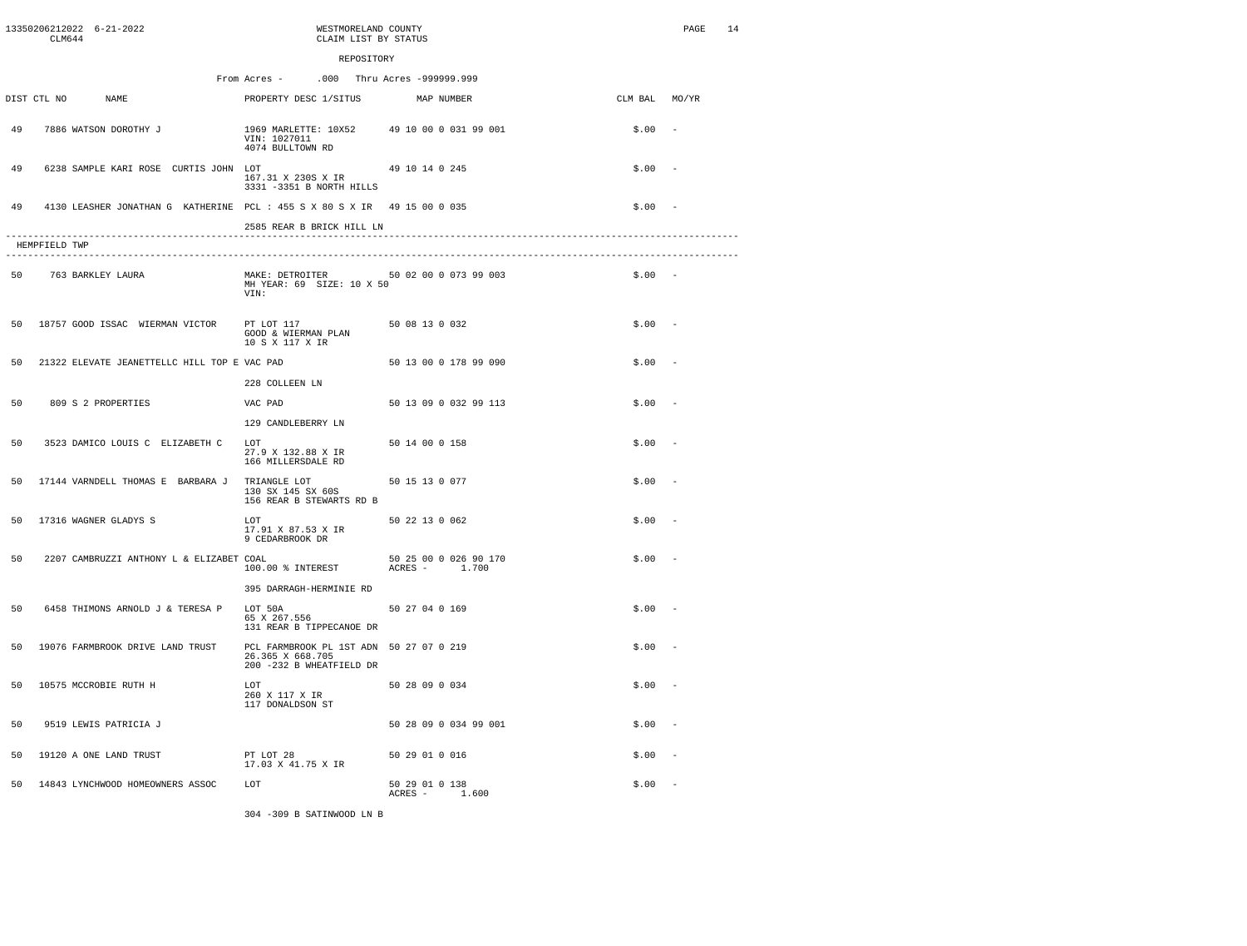|            | 13350206212022 6-21-2022<br>CLM644                                      | WESTMORELAND COUNTY<br>CLAIM LIST BY STATUS                                             |                                            |               | PAGE | 14 |
|------------|-------------------------------------------------------------------------|-----------------------------------------------------------------------------------------|--------------------------------------------|---------------|------|----|
| REPOSITORY |                                                                         |                                                                                         |                                            |               |      |    |
|            |                                                                         | From Acres -                                                                            | .000 Thru Acres -999999.999                |               |      |    |
|            | DIST CTL NO<br>NAME                                                     | PROPERTY DESC 1/SITUS                                                                   | MAP NUMBER                                 | CLM BAL MO/YR |      |    |
| 49         | 7886 WATSON DOROTHY J                                                   | VIN: 1027011<br>4074 BULLTOWN RD                                                        | 1969 MARLETTE: 10X52 49 10 00 0 031 99 001 | \$.00         |      |    |
| 49         | 6238 SAMPLE KARI ROSE CURTIS JOHN LOT                                   | 167.31 X 230S X IR<br>3331 -3351 B NORTH HILLS                                          | 49 10 14 0 245                             | \$.00         |      |    |
| 49         | 4130 LEASHER JONATHAN G KATHERINE PCL: 455 S X 80 S X IR 49 15 00 0 035 |                                                                                         |                                            | \$.00         |      |    |
|            |                                                                         | 2585 REAR B BRICK HILL LN                                                               |                                            |               |      |    |
|            | HEMPFIELD TWP                                                           |                                                                                         |                                            |               |      |    |
| 50         | 763 BARKLEY LAURA                                                       | MH YEAR: 69 SIZE: 10 X 50<br>VIN:                                                       | MAKE: DETROITER 50 02 00 0 073 99 003      | $$.00 -$      |      |    |
| 50         | 18757 GOOD ISSAC WIERMAN VICTOR                                         | PT LOT 117<br>GOOD & WIERMAN PLAN<br>10 S X 117 X IR                                    | 50 08 13 0 032                             | \$.00         |      |    |
| 50         | 21322 ELEVATE JEANETTELLC HILL TOP E VAC PAD                            |                                                                                         | 50 13 00 0 178 99 090                      | \$.00         |      |    |
|            |                                                                         | 228 COLLEEN LN                                                                          |                                            |               |      |    |
| 50         | 809 S 2 PROPERTIES                                                      | VAC PAD                                                                                 | 50 13 09 0 032 99 113                      | \$.00         |      |    |
|            |                                                                         | 129 CANDLEBERRY LN                                                                      |                                            |               |      |    |
| 50         | 3523 DAMICO LOUIS C ELIZABETH C                                         | LOT<br>27.9 X 132.88 X IR<br>166 MILLERSDALE RD                                         | 50 14 00 0 158                             | \$.00         |      |    |
| 50         | 17144 VARNDELL THOMAS E BARBARA J                                       | TRIANGLE LOT<br>130 SX 145 SX 60S<br>156 REAR B STEWARTS RD B                           | 50 15 13 0 077                             | \$.00         |      |    |
| 50         | 17316 WAGNER GLADYS S                                                   | LOT<br>17.91 X 87.53 X IR<br>9 CEDARBROOK DR                                            | 50 22 13 0 062                             | \$.00         |      |    |
| 50         | 2207 CAMBRUZZI ANTHONY L & ELIZABET COAL                                | 100.00 % INTEREST                                                                       | 50 25 00 0 026 90 170<br>ACRES - 1.700     | \$.00         |      |    |
|            |                                                                         | 395 DARRAGH-HERMINIE RD                                                                 |                                            |               |      |    |
| 50         | 6458 THIMONS ARNOLD J & TERESA P                                        | LOT 50A<br>65 X 267.556<br>131 REAR B TIPPECANOE DR                                     | 50 27 04 0 169                             | \$.00         |      |    |
| 50         | 19076 FARMBROOK DRIVE LAND TRUST                                        | PCL FARMBROOK PL 1ST ADN 50 27 07 0 219<br>26.365 X 668.705<br>200 -232 B WHEATFIELD DR |                                            | \$.00         |      |    |
| 50         | 10575 MCCROBIE RUTH H                                                   | LOT<br>260 X 117 X IR<br>117 DONALDSON ST                                               | 50 28 09 0 034                             | \$.00         |      |    |
| 50         | 9519 LEWIS PATRICIA J                                                   |                                                                                         | 50 28 09 0 034 99 001                      | \$.00         |      |    |
| 50         | 19120 A ONE LAND TRUST                                                  | PT LOT 28<br>17.03 X 41.75 X IR                                                         | 50 29 01 0 016                             | \$.00         |      |    |
| 50         | 14843 LYNCHWOOD HOMEOWNERS ASSOC                                        | LOT                                                                                     | 50 29 01 0 138<br>ACRES - 1.600            | \$.00         |      |    |

304 -309 B SATINWOOD LN B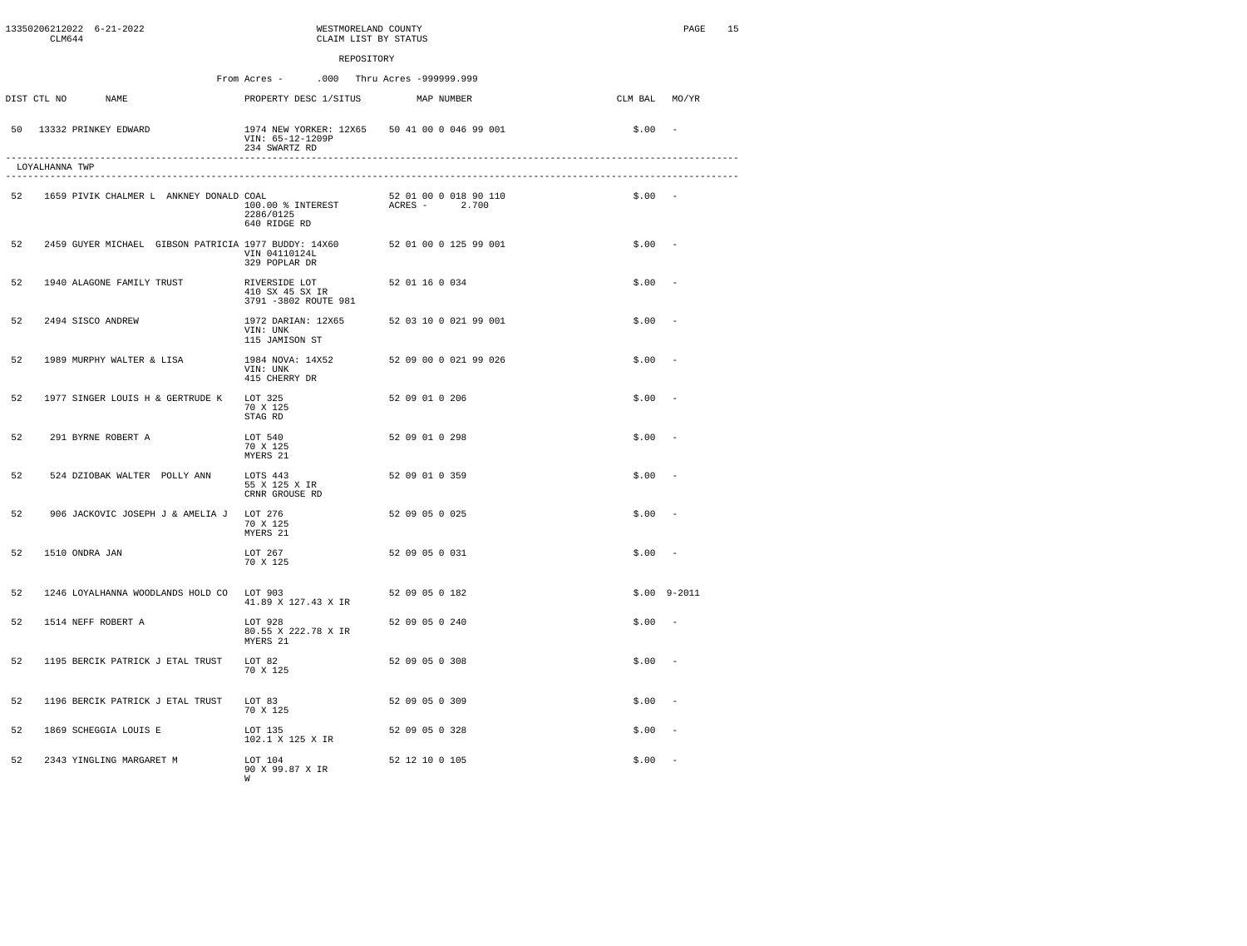|    | CLM644         | 13350206212022 6-21-2022     |                                                      |                                                                                                          | WESTMORELAND COUNTY<br>CLAIM LIST BY STATUS |                |            |                       |               | PAGE            | 15 |
|----|----------------|------------------------------|------------------------------------------------------|----------------------------------------------------------------------------------------------------------|---------------------------------------------|----------------|------------|-----------------------|---------------|-----------------|----|
|    |                |                              |                                                      |                                                                                                          | REPOSITORY                                  |                |            |                       |               |                 |    |
|    |                |                              |                                                      | From Acres -                                                                                             | .000 Thru Acres -999999.999                 |                |            |                       |               |                 |    |
|    | DIST CTL NO    | NAME                         |                                                      | PROPERTY DESC 1/SITUS                                                                                    |                                             |                | MAP NUMBER |                       | CLM BAL MO/YR |                 |    |
|    |                | 50 13332 PRINKEY EDWARD      |                                                      | 1974 NEW YORKER: 12X65 50 41 00 0 046 99 001<br>VIN: 65-12-1209P<br>234 SWARTZ RD<br>------------------- |                                             |                |            |                       | \$.00         | $\sim$          |    |
|    | LOYALHANNA TWP |                              |                                                      |                                                                                                          |                                             |                |            |                       |               |                 |    |
| 52 |                |                              | 1659 PIVIK CHALMER L ANKNEY DONALD COAL              | 100.00 % INTEREST<br>2286/0125<br>640 RIDGE RD                                                           |                                             | ACRES - 2.700  |            | 52 01 00 0 018 90 110 | $$.00 -$      |                 |    |
| 52 |                |                              | 2459 GUYER MICHAEL GIBSON PATRICIA 1977 BUDDY: 14X60 | VIN 04110124L<br>329 POPLAR DR                                                                           |                                             |                |            | 52 01 00 0 125 99 001 | \$.00         |                 |    |
| 52 |                | 1940 ALAGONE FAMILY TRUST    |                                                      | RIVERSIDE LOT<br>410 SX 45 SX IR<br>3791 -3802 ROUTE 981                                                 |                                             | 52 01 16 0 034 |            |                       | \$.00         |                 |    |
| 52 |                | 2494 SISCO ANDREW            |                                                      | 1972 DARIAN: 12X65<br>VIN: UNK<br>115 JAMISON ST                                                         |                                             |                |            | 52 03 10 0 021 99 001 | \$.00         |                 |    |
| 52 |                | 1989 MURPHY WALTER & LISA    |                                                      | 1984 NOVA: 14X52<br>VIN: UNK<br>415 CHERRY DR                                                            |                                             |                |            | 52 09 00 0 021 99 026 | \$.00         |                 |    |
| 52 |                |                              | 1977 SINGER LOUIS H & GERTRUDE K                     | LOT 325<br>70 X 125<br>STAG RD                                                                           |                                             | 52 09 01 0 206 |            |                       | \$.00         |                 |    |
| 52 |                | 291 BYRNE ROBERT A           |                                                      | LOT 540<br>70 X 125<br>MYERS 21                                                                          |                                             | 52 09 01 0 298 |            |                       | \$.00         |                 |    |
| 52 |                | 524 DZIOBAK WALTER POLLY ANN |                                                      | LOTS 443<br>55 X 125 X IR<br>CRNR GROUSE RD                                                              |                                             | 52 09 01 0 359 |            |                       | \$.00         |                 |    |
| 52 |                |                              | 906 JACKOVIC JOSEPH J & AMELIA J                     | LOT 276<br>70 X 125<br>MYERS 21                                                                          |                                             | 52 09 05 0 025 |            |                       | \$.00         |                 |    |
| 52 | 1510 ONDRA JAN |                              |                                                      | LOT 267<br>70 X 125                                                                                      |                                             | 52 09 05 0 031 |            |                       | \$.00         |                 |    |
| 52 |                |                              | 1246 LOYALHANNA WOODLANDS HOLD CO LOT 903            | 41.89 X 127.43 X IR                                                                                      |                                             | 52 09 05 0 182 |            |                       |               | $$.00$ $9-2011$ |    |
| 52 |                | 1514 NEFF ROBERT A           |                                                      | LOT 928<br>80.55 X 222.78 X IR<br>MYERS 21                                                               |                                             | 52 09 05 0 240 |            |                       | \$.00         | $\sim$          |    |
| 52 |                |                              | 1195 BERCIK PATRICK J ETAL TRUST                     | LOT 82<br>70 X 125                                                                                       |                                             | 52 09 05 0 308 |            |                       | \$.00         |                 |    |
| 52 |                |                              | 1196 BERCIK PATRICK J ETAL TRUST                     | LOT 83<br>70 X 125                                                                                       |                                             | 52 09 05 0 309 |            |                       | \$.00         |                 |    |
| 52 |                | 1869 SCHEGGIA LOUIS E        |                                                      | LOT 135<br>102.1 X 125 X IR                                                                              |                                             | 52 09 05 0 328 |            |                       | \$.00         |                 |    |
| 52 |                | 2343 YINGLING MARGARET M     |                                                      | LOT 104<br>90 X 99.87 X IR<br>W                                                                          |                                             | 52 12 10 0 105 |            |                       | \$.00         |                 |    |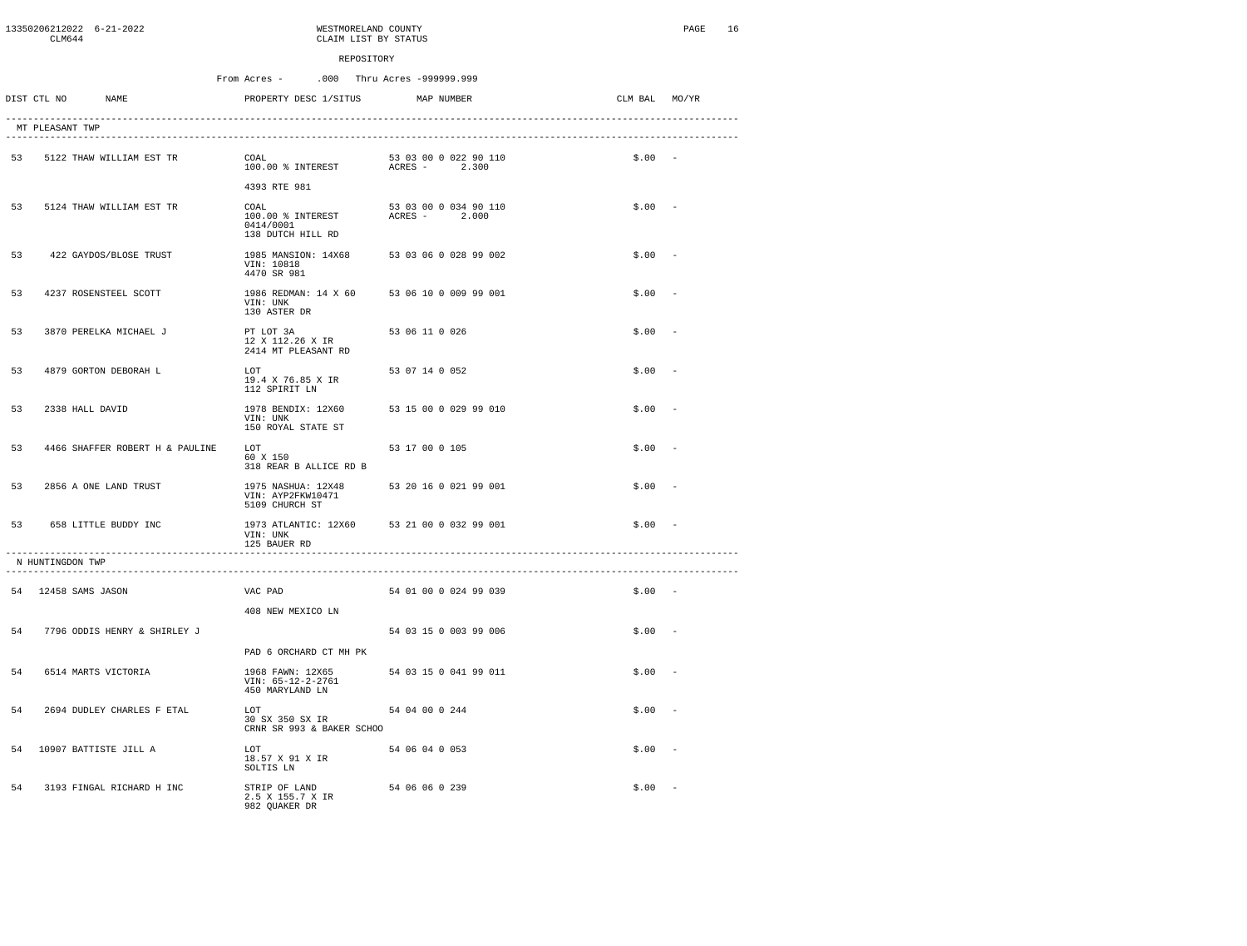|    | 13350206212022 6-21-2022<br>CLM644       |                                 | WESTMORELAND COUNTY<br>CLAIM LIST BY STATUS                            |                                        |               | PAGE<br>16 |
|----|------------------------------------------|---------------------------------|------------------------------------------------------------------------|----------------------------------------|---------------|------------|
|    |                                          |                                 | REPOSITORY                                                             |                                        |               |            |
|    |                                          |                                 | From Acres -                                                           | .000 Thru Acres -999999.999            |               |            |
|    | DIST CTL NO                              | NAME                            | PROPERTY DESC 1/SITUS                                                  | MAP NUMBER                             | CLM BAL MO/YR |            |
|    | MT PLEASANT TWP                          |                                 |                                                                        |                                        |               |            |
| 53 |                                          | 5122 THAW WILLIAM EST TR        | COAL                                                                   |                                        | $$.00 -$      |            |
|    |                                          |                                 | 4393 RTE 981                                                           |                                        |               |            |
| 53 |                                          | 5124 THAW WILLIAM EST TR        | COAL<br>100.00 % INTEREST<br>0414/0001<br>138 DUTCH HILL RD            | 53 03 00 0 034 90 110<br>ACRES - 2.000 | \$.00         |            |
| 53 |                                          | 422 GAYDOS/BLOSE TRUST          | 1985 MANSION: 14X68<br>VIN: 10818<br>4470 SR 981                       | 53 03 06 0 028 99 002                  | \$.00         |            |
| 53 |                                          | 4237 ROSENSTEEL SCOTT           | 1986 REDMAN: 14 X 60 53 06 10 0 009 99 001<br>VIN: UNK<br>130 ASTER DR |                                        | \$.00         |            |
| 53 |                                          | 3870 PERELKA MICHAEL J          | PT LOT 3A<br>12 X 112.26 X IR<br>2414 MT PLEASANT RD                   | 53 06 11 0 026                         | \$.00         |            |
| 53 |                                          | 4879 GORTON DEBORAH L           | LOT<br>19.4 X 76.85 X IR<br>112 SPIRIT LN                              | 53 07 14 0 052                         | \$.00         |            |
| 53 | 2338 HALL DAVID                          |                                 | 1978 BENDIX: 12X60<br>VIN: UNK<br>150 ROYAL STATE ST                   | 53 15 00 0 029 99 010                  | \$.00         |            |
| 53 |                                          | 4466 SHAFFER ROBERT H & PAULINE | LOT<br>60 X 150<br>318 REAR B ALLICE RD B                              | 53 17 00 0 105                         | \$.00         |            |
| 53 |                                          | 2856 A ONE LAND TRUST           | 1975 NASHUA: 12X48<br>VIN: AYP2FKW10471<br>5109 CHURCH ST              | 53 20 16 0 021 99 001                  | \$.00         |            |
| 53 |                                          | 658 LITTLE BUDDY INC            | 1973 ATLANTIC: 12X60 53 21 00 0 032 99 001<br>VIN: UNK<br>125 BAUER RD |                                        | $$.00 -$      |            |
|    | N HUNTINGDON TWP<br>-------------------- |                                 |                                                                        |                                        |               |            |
|    | 54 12458 SAMS JASON                      |                                 | VAC PAD                                                                | 54 01 00 0 024 99 039                  | $$.00 -$      |            |
| 54 |                                          |                                 | 408 NEW MEXICO LN                                                      |                                        |               |            |
|    |                                          | 7796 ODDIS HENRY & SHIRLEY J    | PAD 6 ORCHARD CT MH PK                                                 | 54 03 15 0 003 99 006                  | \$.00         |            |
| 54 |                                          | 6514 MARTS VICTORIA             | 1968 FAWN: 12X65<br>VIN: 65-12-2-2761<br>450 MARYLAND LN               | 54 03 15 0 041 99 011                  | \$.00         |            |
| 54 |                                          | 2694 DUDLEY CHARLES F ETAL      | LOT<br>30 SX 350 SX IR<br>CRNR SR 993 & BAKER SCHOO                    | 54 04 00 0 244                         | \$.00         |            |
|    |                                          | 54 10907 BATTISTE JILL A        | T.OT<br>18.57 X 91 X IR<br>SOLTIS LN                                   | 54 06 04 0 053                         | \$.00         |            |
| 54 |                                          | 3193 FINGAL RICHARD H INC       | STRIP OF LAND<br>2.5 X 155.7 X IR<br>982 QUAKER DR                     | 54 06 06 0 239                         | \$.00         |            |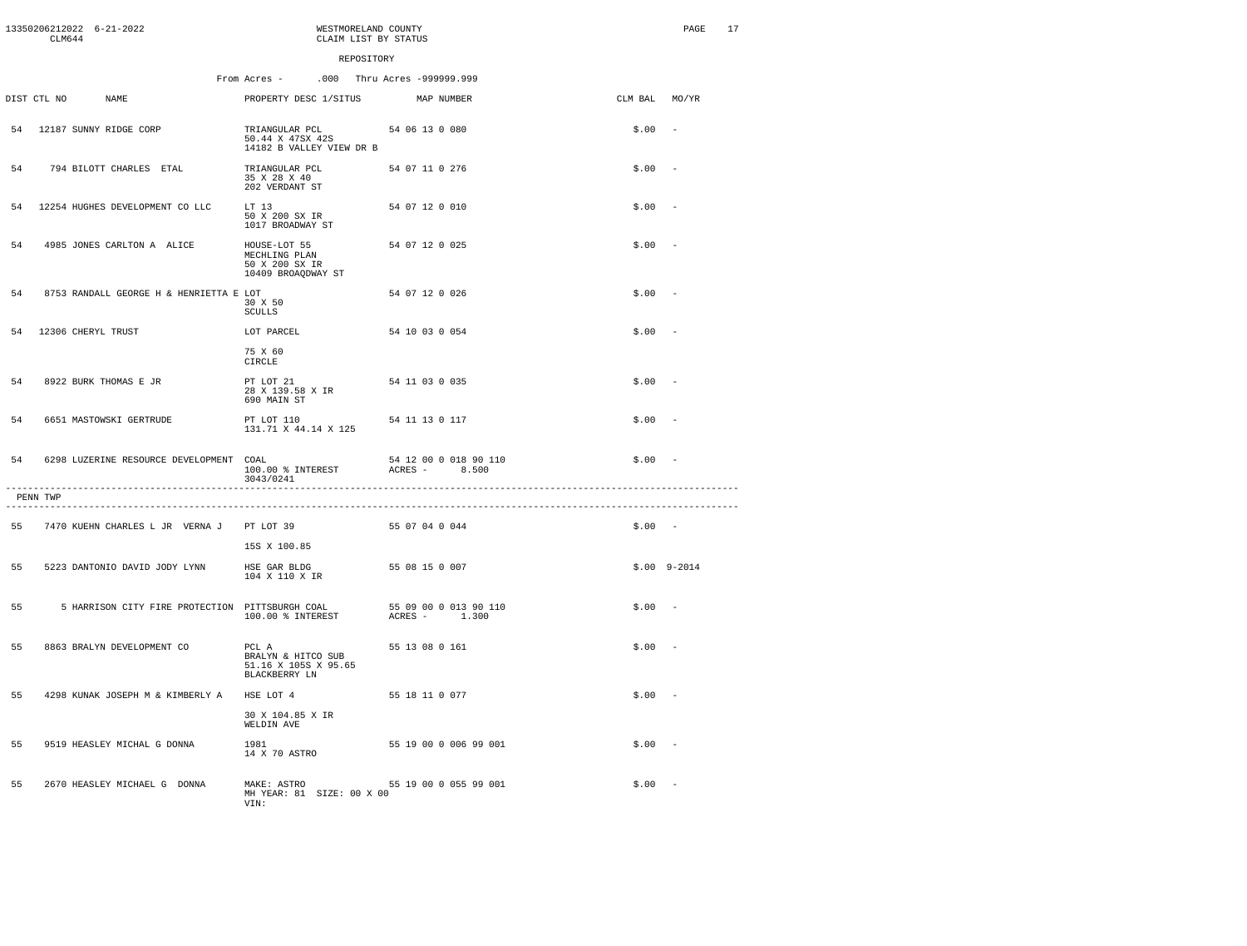|    | CTM644      | 13350206212022 6-21-2022                        | WESTMORELAND COUNTY<br>CLAIM LIST BY STATUS                           |                                        |               | PAGE                     | 17 |
|----|-------------|-------------------------------------------------|-----------------------------------------------------------------------|----------------------------------------|---------------|--------------------------|----|
|    |             |                                                 | REPOSITORY                                                            |                                        |               |                          |    |
|    |             |                                                 | From Acres -                                                          | .000 Thru Acres -999999.999            |               |                          |    |
|    | DIST CTL NO | <b>NAME</b>                                     | PROPERTY DESC 1/SITUS                                                 | MAP NUMBER                             | CLM BAL MO/YR |                          |    |
|    |             | 54 12187 SUNNY RIDGE CORP                       | TRIANGULAR PCL<br>50.44 X 47SX 42S<br>14182 B VALLEY VIEW DR B        | 54 06 13 0 080                         | \$.00         | $\sim$                   |    |
| 54 |             | 794 BILOTT CHARLES ETAL                         | TRIANGULAR PCL<br>35 X 28 X 40<br>202 VERDANT ST                      | 54 07 11 0 276                         | \$.00         | $\overline{a}$           |    |
| 54 |             | 12254 HUGHES DEVELOPMENT CO LLC                 | $T.T$ 13<br>50 X 200 SX IR<br>1017 BROADWAY ST                        | 54 07 12 0 010                         | \$.00         | - -                      |    |
| 54 |             | 4985 JONES CARLTON A ALICE                      | HOUSE-LOT 55<br>MECHLING PLAN<br>50 X 200 SX IR<br>10409 BROAQDWAY ST | 54 07 12 0 025                         | \$.00         | $\sim$                   |    |
| 54 |             | 8753 RANDALL GEORGE H & HENRIETTA E LOT         | 30 X 50<br>SCULLS                                                     | 54 07 12 0 026                         | \$.00         | $\sim$                   |    |
| 54 |             | 12306 CHERYL TRUST                              | LOT PARCEL                                                            | 54 10 03 0 054                         | \$.00         | $\overline{\phantom{a}}$ |    |
|    |             |                                                 | 75 X 60<br>CIRCLE                                                     |                                        |               |                          |    |
| 54 |             | 8922 BURK THOMAS E JR                           | PT LOT 21<br>28 X 139.58 X IR<br>690 MAIN ST                          | 54 11 03 0 035                         | \$.00         | $\sim$                   |    |
| 54 |             | 6651 MASTOWSKI GERTRUDE                         | PT LOT 110<br>131.71 X 44.14 X 125                                    | 54 11 13 0 117                         | $$.00 -$      |                          |    |
| 54 |             | 6298 LUZERINE RESOURCE DEVELOPMENT COAL         | 100.00 % INTEREST<br>3043/0241                                        | 54 12 00 0 018 90 110<br>ACRES - 8.500 | $$.00 -$      |                          |    |
|    | PENN TWP    |                                                 |                                                                       |                                        |               |                          |    |
| 55 |             | 7470 KUEHN CHARLES L JR VERNA J PT LOT 39       |                                                                       | 55 07 04 0 044                         | $$.00 -$      |                          |    |
|    |             |                                                 | 15S X 100.85                                                          |                                        |               |                          |    |
| 55 |             | 5223 DANTONIO DAVID JODY LYNN                   | HSE GAR BLDG<br>104 X 110 X IR                                        | 55 08 15 0 007                         |               | $$.00$ $9-2014$          |    |
| 55 |             | 5 HARRISON CITY FIRE PROTECTION PITTSBURGH COAL | 100.00 % INTEREST                                                     | 55 09 00 0 013 90 110<br>ACRES - 1.300 | $$.00 -$      |                          |    |
| 55 |             | 8863 BRALYN DEVELOPMENT CO                      | PCL A<br>BRALYN & HITCO SUB<br>51.16 X 105S X 95.65<br>BLACKBERRY LN  | 55 13 08 0 161                         | \$.00         | $\sim$                   |    |
| 55 |             | 4298 KUNAK JOSEPH M & KIMBERLY A                | HSE LOT 4                                                             | 55 18 11 0 077                         | $$.00 -$      |                          |    |
|    |             |                                                 | 30 X 104.85 X IR<br>WELDIN AVE                                        |                                        |               |                          |    |
| 55 |             | 9519 HEASLEY MICHAL G DONNA                     | 1981<br>14 X 70 ASTRO                                                 | 55 19 00 0 006 99 001                  | $$.00 -$      |                          |    |
| 55 |             | 2670 HEASLEY MICHAEL G DONNA                    | MAKE: ASTRO<br>MH YEAR: 81 SIZE: 00 X 00<br>VIN:                      | 55 19 00 0 055 99 001                  | \$.00         |                          |    |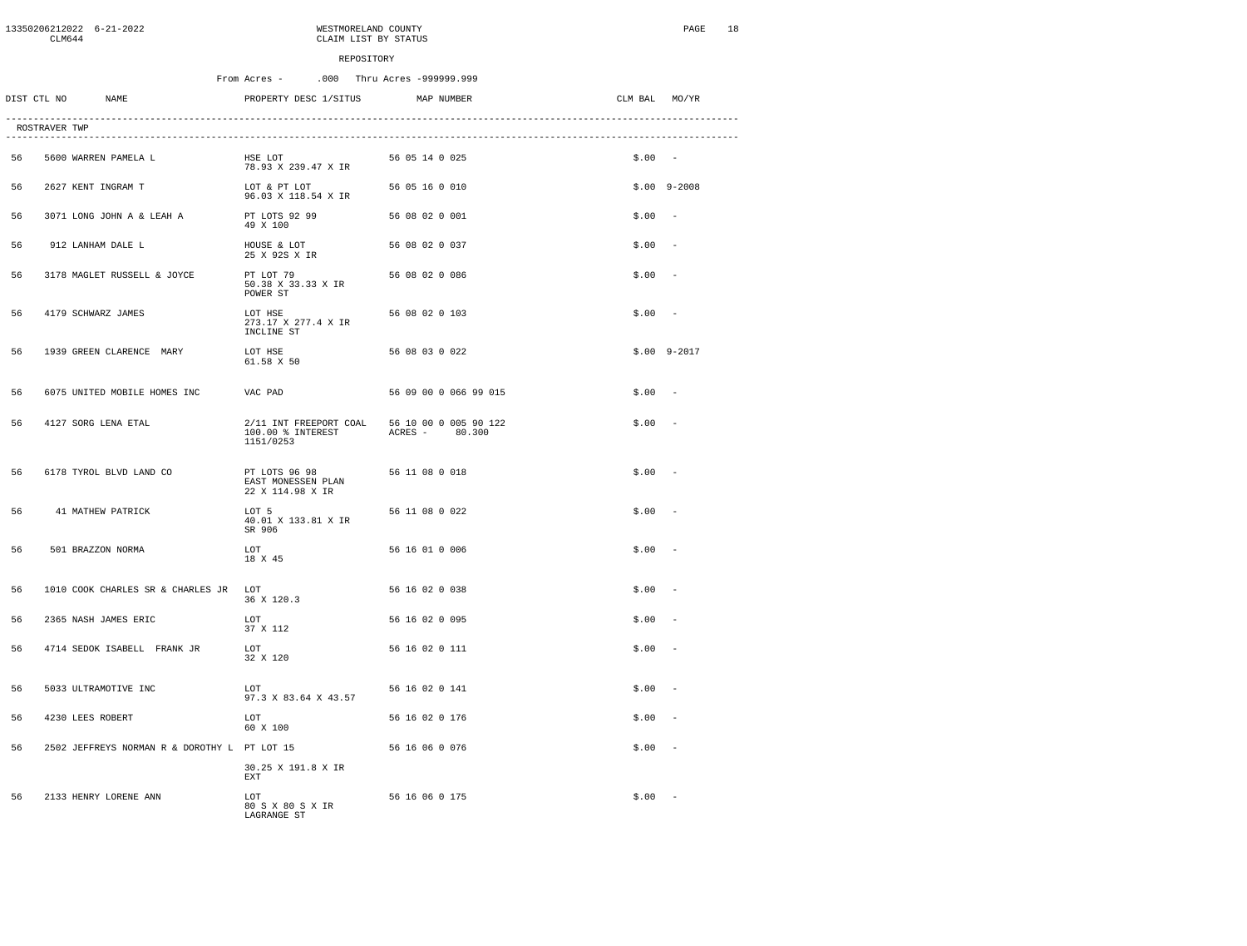|    | CLM644        | 13350206212022 6-21-2022                     |                                                          | WESTMORELAND COUNTY<br>CLAIM LIST BY STATUS |               | PAGE<br>18               |
|----|---------------|----------------------------------------------|----------------------------------------------------------|---------------------------------------------|---------------|--------------------------|
|    |               |                                              | REPOSITORY                                               |                                             |               |                          |
|    |               |                                              | From Acres -                                             | .000 Thru Acres -999999.999                 |               |                          |
|    | DIST CTL NO   | NAME                                         | PROPERTY DESC 1/SITUS                                    | MAP NUMBER                                  | CLM BAL MO/YR |                          |
|    | ROSTRAVER TWP |                                              |                                                          |                                             |               |                          |
| 56 |               | 5600 WARREN PAMELA L                         | HSE LOT<br>78.93 X 239.47 X IR                           | 56 05 14 0 025                              | $$.00 -$      |                          |
| 56 |               | 2627 KENT INGRAM T                           | LOT & PT LOT<br>96.03 X 118.54 X IR                      | 56 05 16 0 010                              |               | $$.00$ 9-2008            |
| 56 |               | 3071 LONG JOHN A & LEAH A                    | PT LOTS 92 99<br>49 X 100                                | 56 08 02 0 001                              | \$.00         |                          |
| 56 |               | 912 LANHAM DALE L                            | HOUSE & LOT<br>25 X 92S X IR                             | 56 08 02 0 037                              | \$.00         | $\overline{\phantom{a}}$ |
| 56 |               | 3178 MAGLET RUSSELL & JOYCE                  | PT LOT 79<br>50.38 X 33.33 X IR<br>POWER ST              | 56 08 02 0 086                              | \$.00         |                          |
| 56 |               | 4179 SCHWARZ JAMES                           | LOT HSE<br>273.17 X 277.4 X IR<br>INCLINE ST             | 56 08 02 0 103                              | \$.00         | $\sim$                   |
| 56 |               | 1939 GREEN CLARENCE MARY                     | LOT HSE<br>61.58 X 50                                    | 56 08 03 0 022                              |               | $$.00$ 9-2017            |
| 56 |               | 6075 UNITED MOBILE HOMES INC                 | VAC PAD                                                  | 56 09 00 0 066 99 015                       | \$.00         | $\overline{\phantom{a}}$ |
| 56 |               | 4127 SORG LENA ETAL                          | 2/11 INT FREEPORT COAL<br>100.00 % INTEREST<br>1151/0253 | 56 10 00 0 005 90 122<br>ACRES - 80.300     | \$.00         |                          |
| 56 |               | 6178 TYROL BLVD LAND CO                      | PT LOTS 96 98<br>EAST MONESSEN PLAN<br>22 X 114.98 X IR  | 56 11 08 0 018                              | \$.00         |                          |
| 56 |               | 41 MATHEW PATRICK                            | LOT 5<br>40.01 X 133.81 X IR<br>SR 906                   | 56 11 08 0 022                              | \$.00         |                          |
| 56 |               | 501 BRAZZON NORMA                            | LOT<br>18 X 45                                           | 56 16 01 0 006                              | \$.00         |                          |
| 56 |               | 1010 COOK CHARLES SR & CHARLES JR LOT        | 36 X 120.3                                               | 56 16 02 0 038                              | \$.00         |                          |
| 56 |               | 2365 NASH JAMES ERIC                         | T.OT<br>37 X 112                                         | 56 16 02 0 095                              | \$.00         |                          |
| 56 |               | 4714 SEDOK ISABELL FRANK JR                  | LOT<br>32 X 120                                          | 56 16 02 0 111                              | \$.00         | $\sim$                   |
| 56 |               | 5033 ULTRAMOTIVE INC                         | LOT<br>97.3 X 83.64 X 43.57                              | 56 16 02 0 141                              | \$.00         |                          |
| 56 |               | 4230 LEES ROBERT                             | T.OT<br>60 X 100                                         | 56 16 02 0 176                              | \$.00         |                          |
| 56 |               | 2502 JEFFREYS NORMAN R & DOROTHY L PT LOT 15 |                                                          | 56 16 06 0 076                              | \$.00         |                          |
|    |               |                                              | 30.25 X 191.8 X IR<br><b>EXT</b>                         |                                             |               |                          |
| 56 |               | 2133 HENRY LORENE ANN                        | T.OT<br>80 S X 80 S X IR<br>LAGRANGE ST                  | 56 16 06 0 175                              | \$.00         |                          |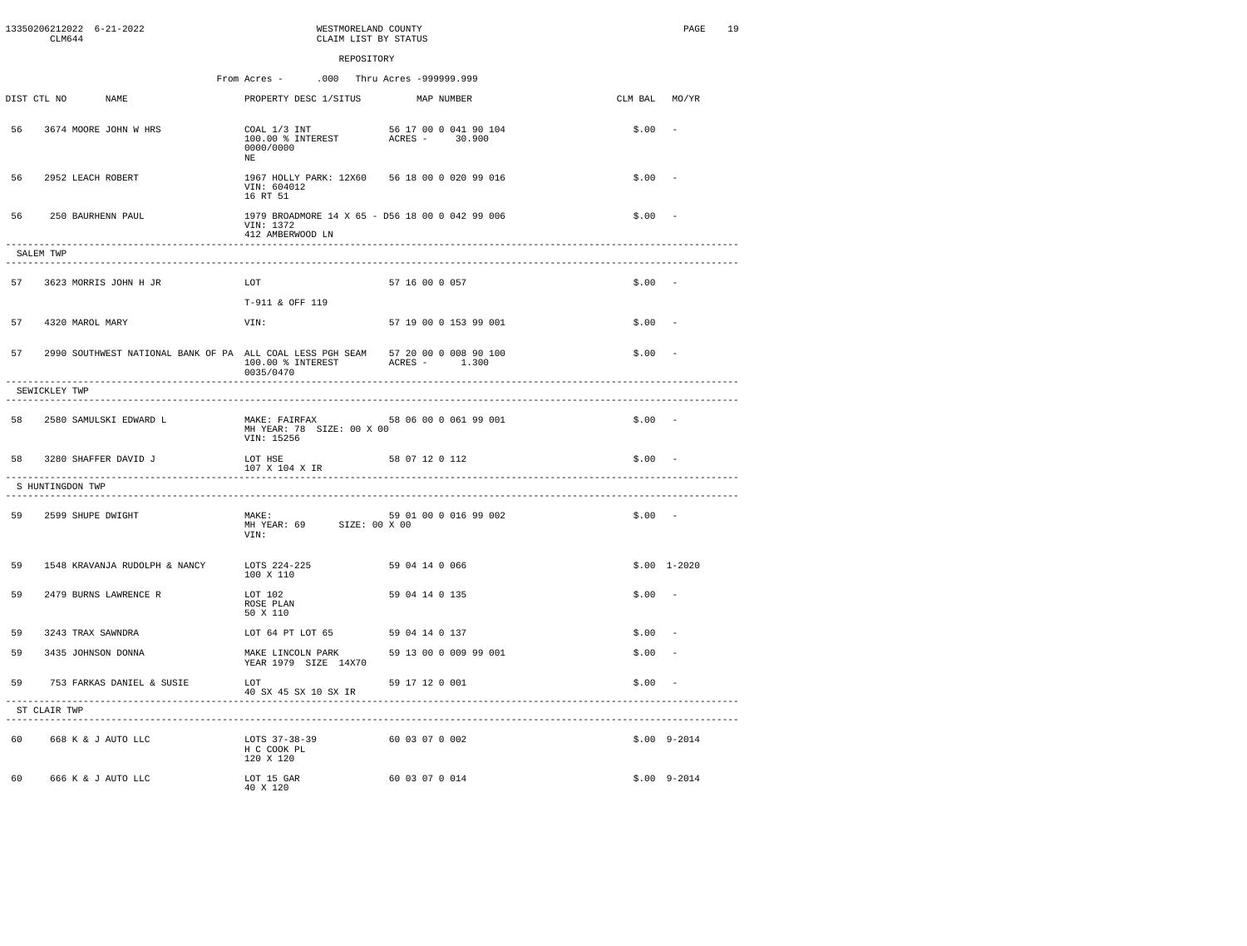|    | CLM644                                 | 13350206212022 6-21-2022                                                        | WESTMORELAND COUNTY<br>CLAIM LIST BY STATUS                                      |                |                                         |               | PAGE          | 19 |
|----|----------------------------------------|---------------------------------------------------------------------------------|----------------------------------------------------------------------------------|----------------|-----------------------------------------|---------------|---------------|----|
|    |                                        |                                                                                 | REPOSITORY                                                                       |                |                                         |               |               |    |
|    |                                        |                                                                                 | From Acres -<br>.000 Thru Acres -999999.999                                      |                |                                         |               |               |    |
|    | DIST CTL NO                            | <b>NAME</b>                                                                     | PROPERTY DESC 1/SITUS                                                            |                | MAP NUMBER                              | CLM BAL MO/YR |               |    |
| 56 |                                        | 3674 MOORE JOHN W HRS                                                           | COAL 1/3 INT<br>100.00 % INTEREST<br>0000/0000<br>NE.                            |                | 56 17 00 0 041 90 104<br>ACRES - 30.900 | \$.00         |               |    |
| 56 |                                        | 2952 LEACH ROBERT                                                               | 1967 HOLLY PARK: 12X60 56 18 00 0 020 99 016<br>VIN: 604012<br>16 RT 51          |                |                                         | \$.00         |               |    |
| 56 |                                        | 250 BAURHENN PAUL                                                               | 1979 BROADMORE 14 X 65 - D56 18 00 0 042 99 006<br>VIN: 1372<br>412 AMBERWOOD LN |                |                                         | \$.00         |               |    |
|    | -------------------<br>SALEM TWP       | ----------------------                                                          |                                                                                  |                |                                         |               |               |    |
| 57 |                                        | 3623 MORRIS JOHN H JR                                                           | LOT                                                                              | 57 16 00 0 057 |                                         | $$.00 -$      |               |    |
|    |                                        |                                                                                 | T-911 & OFF 119                                                                  |                |                                         |               |               |    |
| 57 |                                        | 4320 MAROL MARY                                                                 | VIN:                                                                             |                | 57 19 00 0 153 99 001                   | \$.00         |               |    |
| 57 |                                        | 2990 SOUTHWEST NATIONAL BANK OF PA ALL COAL LESS PGH SEAM 57 20 00 0 008 90 100 | 100.00 % INTEREST<br>0035/0470<br>---------------------                          |                | ACRES - 1.300                           | $$.00 -$      |               |    |
|    | SEWICKLEY TWP<br>-------------         |                                                                                 |                                                                                  |                |                                         |               |               |    |
|    |                                        | 58 2580 SAMULSKI EDWARD L                                                       | MAKE: FAIRFAX 58 06 00 0 061 99 001<br>MH YEAR: 78 SIZE: 00 X 00<br>VIN: 15256   |                |                                         | $$.00 -$      |               |    |
| 58 |                                        | 3280 SHAFFER DAVID J                                                            | LOT HSE<br>107 X 104 X IR                                                        | 58 07 12 0 112 |                                         | $$.00 -$      |               |    |
|    | S HUNTINGDON TWP<br>------------------ |                                                                                 |                                                                                  |                |                                         |               |               |    |
| 59 |                                        | 2599 SHUPE DWIGHT                                                               | MAKE:<br>MH YEAR: 69 SIZE: 00 X 00<br>VIN:                                       |                | 59 01 00 0 016 99 002                   | $$.00 -$      |               |    |
| 59 |                                        | 1548 KRAVANJA RUDOLPH & NANCY                                                   | LOTS 224-225<br>100 X 110                                                        | 59 04 14 0 066 |                                         |               | $$.00$ 1-2020 |    |
| 59 |                                        | 2479 BURNS LAWRENCE R                                                           | LOT 102<br>ROSE PLAN<br>50 X 110                                                 | 59 04 14 0 135 |                                         | $$.00 -$      |               |    |
| 59 |                                        | 3243 TRAX SAWNDRA                                                               | LOT 64 PT LOT 65 59 04 14 0 137                                                  |                |                                         | \$.00         |               |    |
| 59 |                                        | 3435 JOHNSON DONNA                                                              | MAKE LINCOLN PARK<br>YEAR 1979 SIZE 14X70                                        |                | 59 13 00 0 009 99 001                   | \$.00         |               |    |
| 59 |                                        | 753 FARKAS DANIEL & SUSIE                                                       | LOT<br>40 SX 45 SX 10 SX IR                                                      | 59 17 12 0 001 |                                         | $$.00 -$      |               |    |
|    | ST CLAIR TWP                           |                                                                                 | ----------------------                                                           |                |                                         |               |               |    |
|    |                                        | 60 668 K & J AUTO LLC                                                           | LOTS 37-38-39<br>H C COOK PL<br>120 X 120                                        | 60 03 07 0 002 |                                         |               | $$.00$ 9-2014 |    |
| 60 |                                        | 666 K & J AUTO LLC                                                              | LOT 15 GAR<br>40 X 120                                                           | 60 03 07 0 014 |                                         |               | $$.00$ 9-2014 |    |